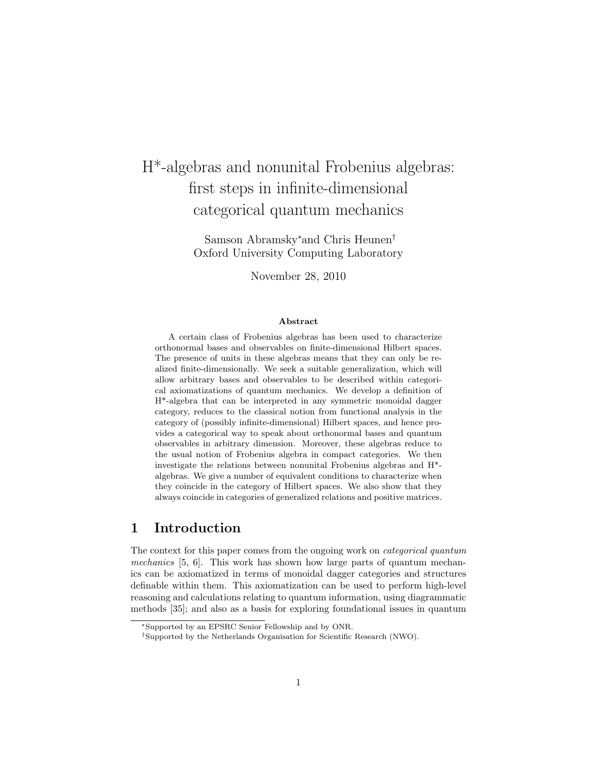# H\*-algebras and nonunital Frobenius algebras: first steps in infinite-dimensional categorical quantum mechanics

Samson Abramsky<sup>∗</sup>and Chris Heunen† Oxford University Computing Laboratory

November 28, 2010

#### Abstract

A certain class of Frobenius algebras has been used to characterize orthonormal bases and observables on finite-dimensional Hilbert spaces. The presence of units in these algebras means that they can only be realized finite-dimensionally. We seek a suitable generalization, which will allow arbitrary bases and observables to be described within categorical axiomatizations of quantum mechanics. We develop a definition of H\*-algebra that can be interpreted in any symmetric monoidal dagger category, reduces to the classical notion from functional analysis in the category of (possibly infinite-dimensional) Hilbert spaces, and hence provides a categorical way to speak about orthonormal bases and quantum observables in arbitrary dimension. Moreover, these algebras reduce to the usual notion of Frobenius algebra in compact categories. We then investigate the relations between nonunital Frobenius algebras and H\* algebras. We give a number of equivalent conditions to characterize when they coincide in the category of Hilbert spaces. We also show that they always coincide in categories of generalized relations and positive matrices.

# 1 Introduction

The context for this paper comes from the ongoing work on categorical quantum mechanics [5, 6]. This work has shown how large parts of quantum mechanics can be axiomatized in terms of monoidal dagger categories and structures definable within them. This axiomatization can be used to perform high-level reasoning and calculations relating to quantum information, using diagrammatic methods [35]; and also as a basis for exploring foundational issues in quantum

<sup>∗</sup>Supported by an EPSRC Senior Fellowship and by ONR.

<sup>†</sup>Supported by the Netherlands Organisation for Scientific Research (NWO).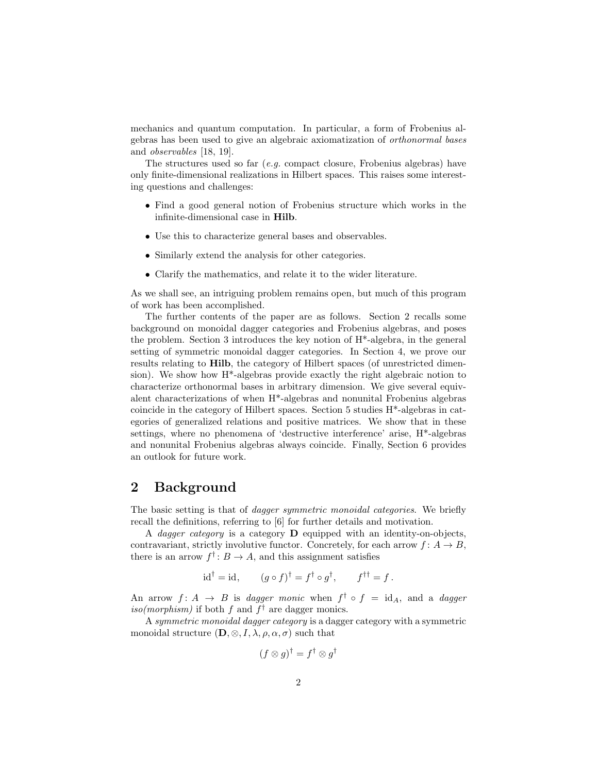mechanics and quantum computation. In particular, a form of Frobenius algebras has been used to give an algebraic axiomatization of orthonormal bases and observables [18, 19].

The structures used so far  $(e.g.$  compact closure, Frobenius algebras) have only finite-dimensional realizations in Hilbert spaces. This raises some interesting questions and challenges:

- Find a good general notion of Frobenius structure which works in the infinite-dimensional case in Hilb.
- Use this to characterize general bases and observables.
- Similarly extend the analysis for other categories.
- Clarify the mathematics, and relate it to the wider literature.

As we shall see, an intriguing problem remains open, but much of this program of work has been accomplished.

The further contents of the paper are as follows. Section 2 recalls some background on monoidal dagger categories and Frobenius algebras, and poses the problem. Section 3 introduces the key notion of H\*-algebra, in the general setting of symmetric monoidal dagger categories. In Section 4, we prove our results relating to Hilb, the category of Hilbert spaces (of unrestricted dimension). We show how H\*-algebras provide exactly the right algebraic notion to characterize orthonormal bases in arbitrary dimension. We give several equivalent characterizations of when H\*-algebras and nonunital Frobenius algebras coincide in the category of Hilbert spaces. Section 5 studies H\*-algebras in categories of generalized relations and positive matrices. We show that in these settings, where no phenomena of 'destructive interference' arise, H\*-algebras and nonunital Frobenius algebras always coincide. Finally, Section 6 provides an outlook for future work.

# 2 Background

The basic setting is that of *dagger symmetric monoidal categories*. We briefly recall the definitions, referring to [6] for further details and motivation.

A *dagger category* is a category  $\bf{D}$  equipped with an identity-on-objects, contravariant, strictly involutive functor. Concretely, for each arrow  $f: A \to B$ , there is an arrow  $f^{\dagger}: B \to A$ , and this assignment satisfies

$$
id^{\dagger} = id, \qquad (g \circ f)^{\dagger} = f^{\dagger} \circ g^{\dagger}, \qquad f^{\dagger \dagger} = f.
$$

An arrow  $f: A \rightarrow B$  is dagger monic when  $f^{\dagger} \circ f = id_A$ , and a dagger iso(morphism) if both f and  $f^{\dagger}$  are dagger monics.

A symmetric monoidal dagger category is a dagger category with a symmetric monoidal structure  $(D, \otimes, I, \lambda, \rho, \alpha, \sigma)$  such that

$$
(f \otimes g)^{\dagger} = f^{\dagger} \otimes g^{\dagger}
$$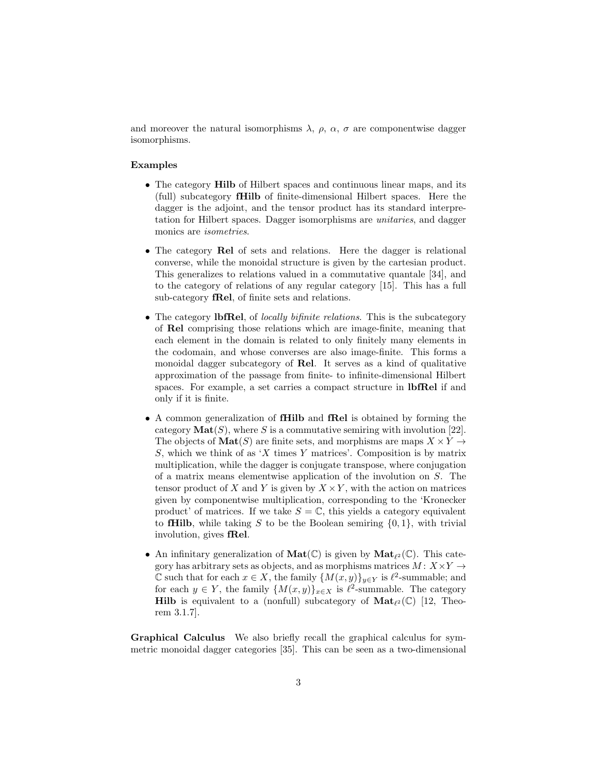and moreover the natural isomorphisms  $\lambda$ ,  $\rho$ ,  $\alpha$ ,  $\sigma$  are componentwise dagger isomorphisms.

#### Examples

- The category **Hilb** of Hilbert spaces and continuous linear maps, and its (full) subcategory fHilb of finite-dimensional Hilbert spaces. Here the dagger is the adjoint, and the tensor product has its standard interpretation for Hilbert spaces. Dagger isomorphisms are unitaries, and dagger monics are isometries.
- The category Rel of sets and relations. Here the dagger is relational converse, while the monoidal structure is given by the cartesian product. This generalizes to relations valued in a commutative quantale [34], and to the category of relations of any regular category [15]. This has a full sub-category fRel, of finite sets and relations.
- The category **lbfRel**, of *locally bifinite relations*. This is the subcategory of Rel comprising those relations which are image-finite, meaning that each element in the domain is related to only finitely many elements in the codomain, and whose converses are also image-finite. This forms a monoidal dagger subcategory of Rel. It serves as a kind of qualitative approximation of the passage from finite- to infinite-dimensional Hilbert spaces. For example, a set carries a compact structure in lbfRel if and only if it is finite.
- A common generalization of fHilb and fRel is obtained by forming the category  $\text{Mat}(S)$ , where S is a commutative semiring with involution [22]. The objects of  $\text{Mat}(S)$  are finite sets, and morphisms are maps  $X \times Y \rightarrow$ S, which we think of as 'X times Y matrices'. Composition is by matrix multiplication, while the dagger is conjugate transpose, where conjugation of a matrix means elementwise application of the involution on S. The tensor product of X and Y is given by  $X \times Y$ , with the action on matrices given by componentwise multiplication, corresponding to the 'Kronecker product' of matrices. If we take  $S = \mathbb{C}$ , this yields a category equivalent to **fHilb**, while taking S to be the Boolean semiring  $\{0, 1\}$ , with trivial involution, gives fRel.
- An infinitary generalization of  $\text{Mat}(\mathbb{C})$  is given by  $\text{Mat}_{\ell^2}(\mathbb{C})$ . This category has arbitrary sets as objects, and as morphisms matrices  $M: X \times Y \rightarrow$ C such that for each  $x \in X$ , the family  ${M(x, y)}_{y \in Y}$  is  $\ell^2$ -summable; and for each  $y \in Y$ , the family  $\{M(x, y)\}_{x \in X}$  is  $\ell^2$ -summable. The category Hilb is equivalent to a (nonfull) subcategory of  $\text{Mat}_{\ell^2}(\mathbb{C})$  [12, Theorem 3.1.7].

Graphical Calculus We also briefly recall the graphical calculus for symmetric monoidal dagger categories [35]. This can be seen as a two-dimensional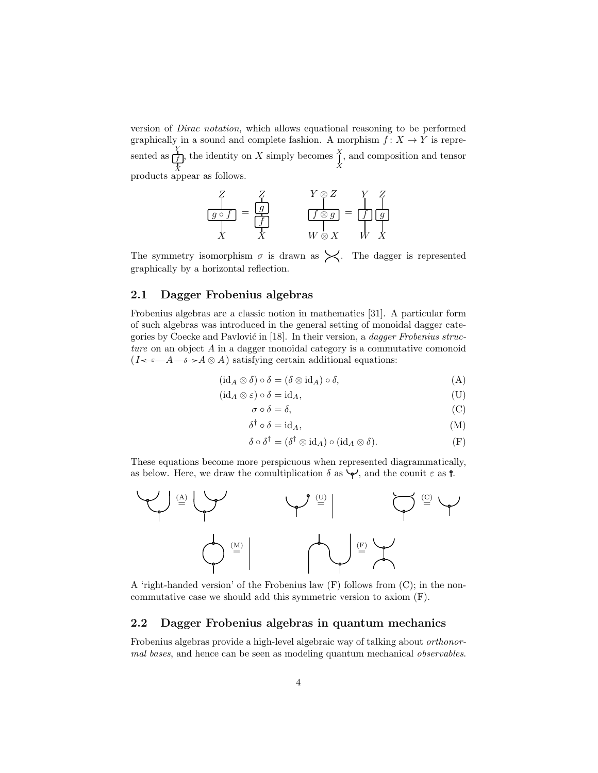version of Dirac notation, which allows equational reasoning to be performed graphically in a sound and complete fashion. A morphism  $f: X \to Y$  is represented as  $\dot{X}$  $\frac{Y}{f}$ , the identity on X simply becomes  $\prod_{X}^{X}$  $X_1$ , and composition and tensor products appear as follows.

$$
\frac{Z}{g \circ f} = \frac{Z}{g}
$$
\n
$$
\frac{Y \otimes Z}{f \otimes g} = \frac{Y}{f} \frac{Z}{g}
$$
\n
$$
X \qquad W \otimes X \qquad W \qquad X
$$

The symmetry isomorphism  $\sigma$  is drawn as  $\swarrow$ . The dagger is represented graphically by a horizontal reflection.

# 2.1 Dagger Frobenius algebras

Frobenius algebras are a classic notion in mathematics [31]. A particular form of such algebras was introduced in the general setting of monoidal dagger categories by Coecke and Pavlović in  $[18]$ . In their version, a *dagger Frobenius struc*ture on an object  $A$  in a dagger monoidal category is a commutative comonoid  $(I \leftarrow \epsilon - A \rightarrow A \otimes A)$  satisfying certain additional equations:

$$
(\mathrm{id}_A \otimes \delta) \circ \delta = (\delta \otimes \mathrm{id}_A) \circ \delta,\tag{A}
$$

$$
(\mathrm{id}_A \otimes \varepsilon) \circ \delta = \mathrm{id}_A,\tag{U}
$$

$$
\sigma \circ \delta = \delta,\tag{C}
$$

$$
\delta^{\dagger} \circ \delta = id_{A},\tag{M}
$$

$$
\delta \circ \delta^{\dagger} = (\delta^{\dagger} \otimes id_A) \circ (id_A \otimes \delta).
$$
 (F)

These equations become more perspicuous when represented diagrammatically, as below. Here, we draw the comultiplication  $\delta$  as  $\blacklozenge$ , and the counit  $\varepsilon$  as **?**.



A 'right-handed version' of the Frobenius law (F) follows from (C); in the noncommutative case we should add this symmetric version to axiom (F).

## 2.2 Dagger Frobenius algebras in quantum mechanics

Frobenius algebras provide a high-level algebraic way of talking about orthonormal bases, and hence can be seen as modeling quantum mechanical observables.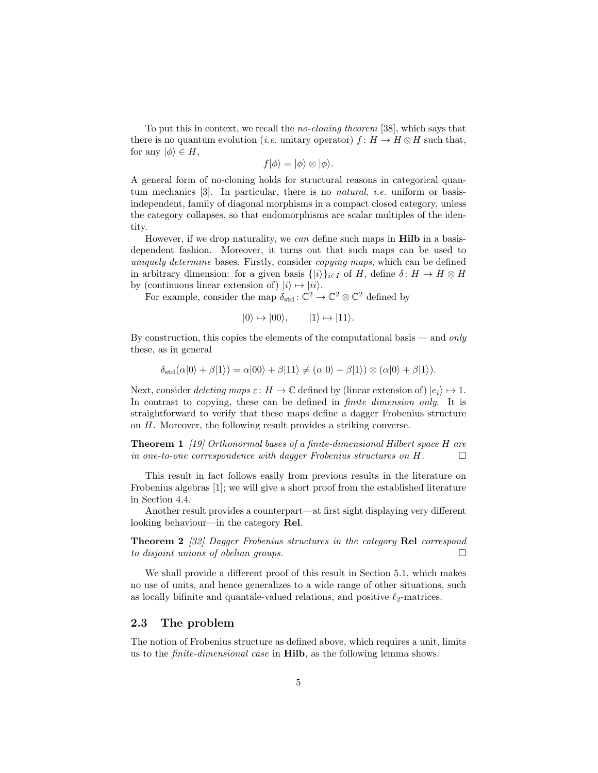To put this in context, we recall the no-cloning theorem [38], which says that there is no quantum evolution (*i.e.* unitary operator)  $f: H \to H \otimes H$  such that, for any  $|\phi\rangle \in H$ ,

$$
f|\phi\rangle = |\phi\rangle \otimes |\phi\rangle.
$$

A general form of no-cloning holds for structural reasons in categorical quantum mechanics [3]. In particular, there is no *natural*, *i.e.* uniform or basisindependent, family of diagonal morphisms in a compact closed category, unless the category collapses, so that endomorphisms are scalar multiples of the identity.

However, if we drop naturality, we can define such maps in **Hilb** in a basisdependent fashion. Moreover, it turns out that such maps can be used to uniquely determine bases. Firstly, consider copying maps, which can be defined in arbitrary dimension: for a given basis  $\{|i\rangle\}_{i\in I}$  of H, define  $\delta: H \to H \otimes H$ by (continuous linear extension of)  $|i\rangle \mapsto |ii\rangle$ .

For example, consider the map  $\delta_{\text{std}}: \mathbb{C}^2 \to \mathbb{C}^2 \otimes \mathbb{C}^2$  defined by

$$
|0\rangle \mapsto |00\rangle, \qquad |1\rangle \mapsto |11\rangle.
$$

By construction, this copies the elements of the computational basis — and only these, as in general

$$
\delta_{\text{std}}(\alpha|0\rangle + \beta|1\rangle) = \alpha|00\rangle + \beta|11\rangle \neq (\alpha|0\rangle + \beta|1\rangle) \otimes (\alpha|0\rangle + \beta|1\rangle).
$$

Next, consider *deleting maps*  $\varepsilon$ :  $H \to \mathbb{C}$  defined by (linear extension of)  $|e_i\rangle \mapsto 1$ . In contrast to copying, these can be defined in *finite dimension only*. It is straightforward to verify that these maps define a dagger Frobenius structure on H. Moreover, the following result provides a striking converse.

Theorem 1 [19] Orthonormal bases of a finite-dimensional Hilbert space H are in one-to-one correspondence with dagger Frobenius structures on  $H$ .

This result in fact follows easily from previous results in the literature on Frobenius algebras [1]; we will give a short proof from the established literature in Section 4.4.

Another result provides a counterpart—at first sight displaying very different looking behaviour—in the category Rel.

Theorem 2 [32] Dagger Frobenius structures in the category Rel correspond to disjoint unions of abelian groups.  $\Box$ 

We shall provide a different proof of this result in Section 5.1, which makes no use of units, and hence generalizes to a wide range of other situations, such as locally bifinite and quantale-valued relations, and positive  $\ell_2$ -matrices.

### 2.3 The problem

The notion of Frobenius structure as defined above, which requires a unit, limits us to the finite-dimensional case in Hilb, as the following lemma shows.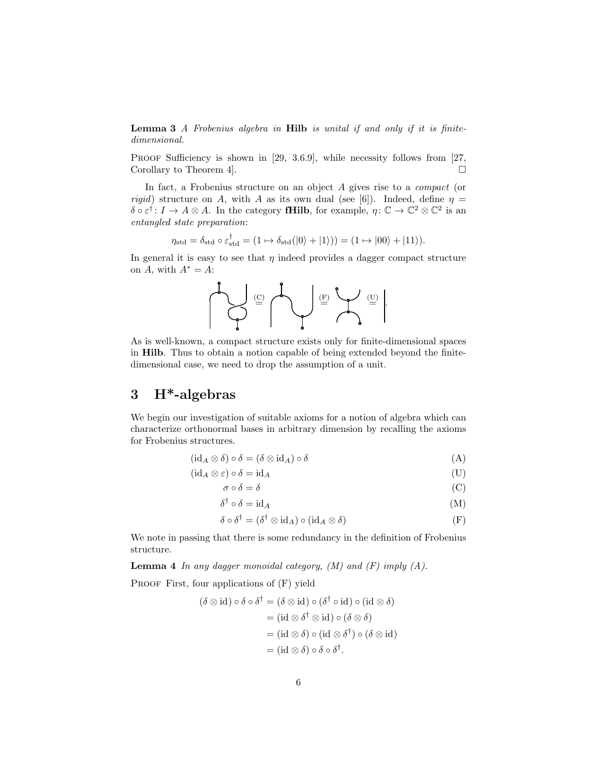Lemma 3 A Frobenius algebra in Hilb is unital if and only if it is finitedimensional.

PROOF Sufficiency is shown in [29, 3.6.9], while necessity follows from [27, Corollary to Theorem 4.

In fact, a Frobenius structure on an object A gives rise to a compact (or rigid) structure on A, with A as its own dual (see [6]). Indeed, define  $\eta =$  $\delta \circ \varepsilon^{\dagger} : I \to A \otimes A$ . In the category **fHilb**, for example,  $\eta: \mathbb{C} \to \mathbb{C}^2 \otimes \mathbb{C}^2$  is an entangled state preparation:

$$
\eta_{\text{std}} = \delta_{\text{std}} \circ \varepsilon_{\text{std}}^{\dagger} = (1 \mapsto \delta_{\text{std}}(|0\rangle + |1\rangle)) = (1 \mapsto |00\rangle + |11\rangle).
$$

In general it is easy to see that  $\eta$  indeed provides a dagger compact structure on A, with  $A^* = A$ :



As is well-known, a compact structure exists only for finite-dimensional spaces in Hilb. Thus to obtain a notion capable of being extended beyond the finitedimensional case, we need to drop the assumption of a unit.

# 3 H\*-algebras

We begin our investigation of suitable axioms for a notion of algebra which can characterize orthonormal bases in arbitrary dimension by recalling the axioms for Frobenius structures.

$$
(\mathrm{id}_A \otimes \delta) \circ \delta = (\delta \otimes \mathrm{id}_A) \circ \delta \tag{A}
$$

$$
(\mathrm{id}_A \otimes \varepsilon) \circ \delta = \mathrm{id}_A \tag{U}
$$

$$
\sigma \circ \delta = \delta \tag{C}
$$

$$
\delta^{\dagger} \circ \delta = id_{A} \tag{M}
$$

$$
\delta \circ \delta^{\dagger} = (\delta^{\dagger} \otimes \mathrm{id}_{A}) \circ (\mathrm{id}_{A} \otimes \delta) \tag{F}
$$

We note in passing that there is some redundancy in the definition of Frobenius structure.

**Lemma 4** In any dagger monoidal category,  $(M)$  and  $(F)$  imply  $(A)$ .

PROOF First, four applications of  $(F)$  yield

$$
(\delta \otimes id) \circ \delta \circ \delta^{\dagger} = (\delta \otimes id) \circ (\delta^{\dagger} \circ id) \circ (id \otimes \delta)
$$
  

$$
= (id \otimes \delta^{\dagger} \otimes id) \circ (\delta \otimes \delta)
$$
  

$$
= (id \otimes \delta) \circ (id \otimes \delta^{\dagger}) \circ (\delta \otimes id)
$$
  

$$
= (id \otimes \delta) \circ \delta \circ \delta^{\dagger}.
$$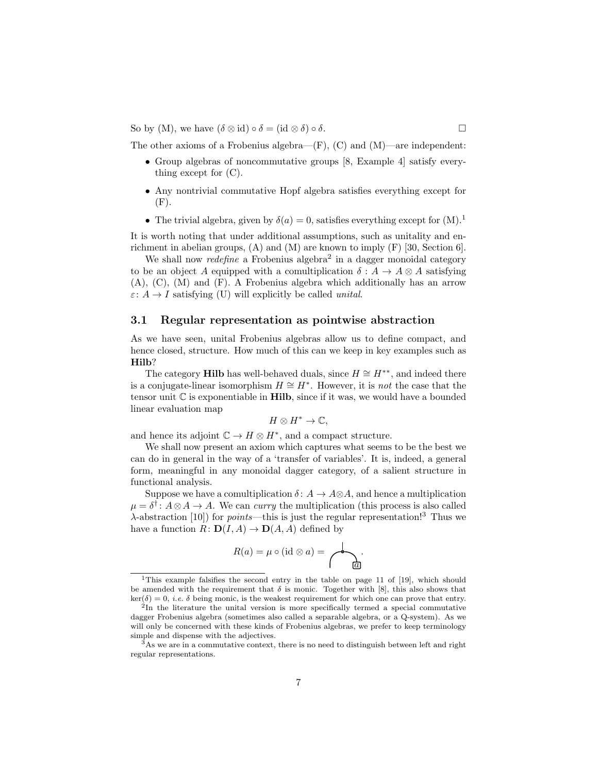So by (M), we have  $(\delta \otimes id) \circ \delta = (id \otimes \delta) \circ \delta$ .

The other axioms of a Frobenius algebra—(F), (C) and (M)—are independent:

- Group algebras of noncommutative groups [8, Example 4] satisfy everything except for (C).
- Any nontrivial commutative Hopf algebra satisfies everything except for  $(F).$
- The trivial algebra, given by  $\delta(a) = 0$ , satisfies everything except for  $(M)$ .<sup>1</sup>

It is worth noting that under additional assumptions, such as unitality and enrichment in abelian groups,  $(A)$  and  $(M)$  are known to imply  $(F)$  [30, Section 6].

We shall now *redefine* a Frobenius algebra<sup>2</sup> in a dagger monoidal category to be an object A equipped with a comultiplication  $\delta: A \to A \otimes A$  satisfying (A), (C), (M) and (F). A Frobenius algebra which additionally has an arrow  $\varepsilon: A \to I$  satisfying (U) will explicitly be called *unital*.

### 3.1 Regular representation as pointwise abstraction

As we have seen, unital Frobenius algebras allow us to define compact, and hence closed, structure. How much of this can we keep in key examples such as Hilb?

The category Hilb has well-behaved duals, since  $H \cong H^{**}$ , and indeed there is a conjugate-linear isomorphism  $H \cong H^*$ . However, it is *not* the case that the tensor unit  $\mathbb C$  is exponentiable in **Hilb**, since if it was, we would have a bounded linear evaluation map

$$
H\otimes H^*\to\mathbb{C},
$$

and hence its adjoint  $\mathbb{C} \to H \otimes H^*$ , and a compact structure.

We shall now present an axiom which captures what seems to be the best we can do in general in the way of a 'transfer of variables'. It is, indeed, a general form, meaningful in any monoidal dagger category, of a salient structure in functional analysis.

Suppose we have a comultiplication  $\delta: A \to A \otimes A$ , and hence a multiplication  $\mu = \delta^{\dagger}$ :  $A \otimes A \rightarrow A$ . We can *curry* the multiplication (this process is also called  $\lambda$ -abstraction [10]) for *points*—this is just the regular representation!<sup>3</sup> Thus we have a function  $R: D(I, A) \to D(A, A)$  defined by

R(a) = µ ◦ (id ⊗ a) = a .

<sup>&</sup>lt;sup>1</sup>This example falsifies the second entry in the table on page 11 of [19], which should be amended with the requirement that  $\delta$  is monic. Together with [8], this also shows that  $\ker(\delta) = 0$ , *i.e.*  $\delta$  being monic, is the weakest requirement for which one can prove that entry.

<sup>&</sup>lt;sup>2</sup>In the literature the unital version is more specifically termed a special commutative dagger Frobenius algebra (sometimes also called a separable algebra, or a Q-system). As we will only be concerned with these kinds of Frobenius algebras, we prefer to keep terminology simple and dispense with the adjectives.

 $3As$  we are in a commutative context, there is no need to distinguish between left and right regular representations.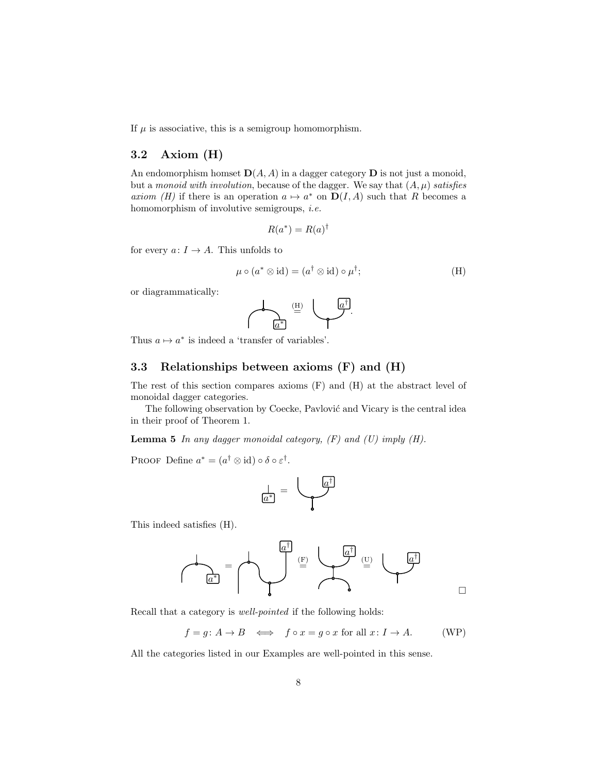If  $\mu$  is associative, this is a semigroup homomorphism.

# 3.2 Axiom (H)

An endomorphism homset  $\mathbf{D}(A, A)$  in a dagger category  $\mathbf D$  is not just a monoid, but a monoid with involution, because of the dagger. We say that  $(A, \mu)$  satisfies axiom (H) if there is an operation  $a \mapsto a^*$  on  $D(I, A)$  such that R becomes a homomorphism of involutive semigroups, *i.e.* 

$$
R(a^*) = R(a)^{\dagger}
$$

for every  $a: I \to A$ . This unfolds to

$$
\mu \circ (a^* \otimes id) = (a^{\dagger} \otimes id) \circ \mu^{\dagger};\tag{H}
$$

or diagrammatically:



Thus  $a \mapsto a^*$  is indeed a 'transfer of variables'.

## 3.3 Relationships between axioms (F) and (H)

The rest of this section compares axioms (F) and (H) at the abstract level of monoidal dagger categories.

The following observation by Coecke, Pavlović and Vicary is the central idea in their proof of Theorem 1.

**Lemma 5** In any dagger monoidal category,  $(F)$  and  $(U)$  imply  $(H)$ .

PROOF Define  $a^* = (a^{\dagger} \otimes id) \circ \delta \circ \varepsilon^{\dagger}$ .



This indeed satisfies (H).

$$
\mathcal{A}_{\underline{a}^{\dagger}} = \mathcal{A}_{\underline{a}^{\dagger}} \qquad \qquad \mathcal{B}_{\underline{a}^{\dagger}} \qquad \qquad \mathcal{B}_{\underline{a}^{\dagger}} \qquad \qquad \mathcal{B}_{\underline{a}^{\dagger}} \qquad \qquad \mathcal{B}_{\underline{a}^{\dagger}}
$$

Recall that a category is well-pointed if the following holds:

 $f = g: A \to B \iff f \circ x = g \circ x$  for all  $x: I \to A$ . (WP)

 $\Box$ 

All the categories listed in our Examples are well-pointed in this sense.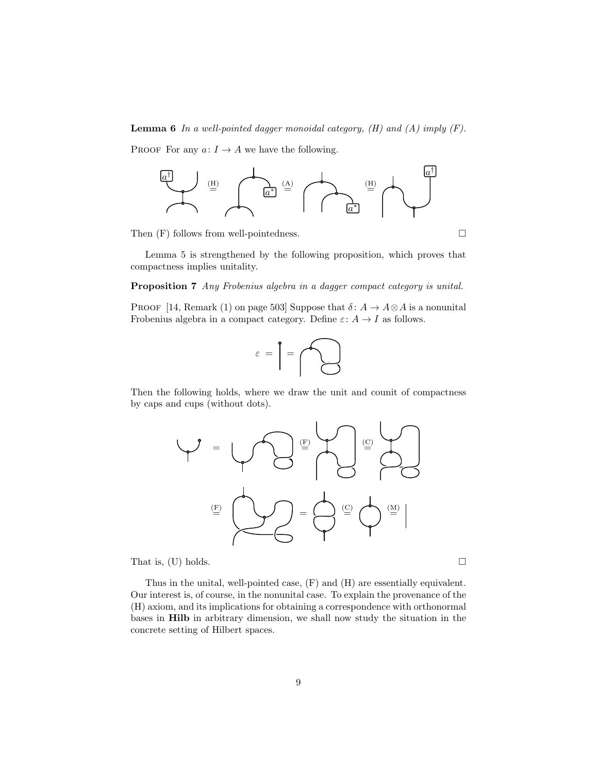**Lemma 6** In a well-pointed dagger monoidal category,  $(H)$  and  $(A)$  imply  $(F)$ .

PROOF For any  $a: I \to A$  we have the following.



Then  $(F)$  follows from well-pointedness.

Lemma 5 is strengthened by the following proposition, which proves that compactness implies unitality.

### Proposition 7 Any Frobenius algebra in a dagger compact category is unital.

PROOF [14, Remark (1) on page 503] Suppose that  $\delta: A \to A \otimes A$  is a nonunital Frobenius algebra in a compact category. Define  $\varepsilon: A \to I$  as follows.



Then the following holds, where we draw the unit and counit of compactness by caps and cups (without dots).



That is, (U) holds.  $\square$ 

Thus in the unital, well-pointed case, (F) and (H) are essentially equivalent. Our interest is, of course, in the nonunital case. To explain the provenance of the (H) axiom, and its implications for obtaining a correspondence with orthonormal bases in Hilb in arbitrary dimension, we shall now study the situation in the concrete setting of Hilbert spaces.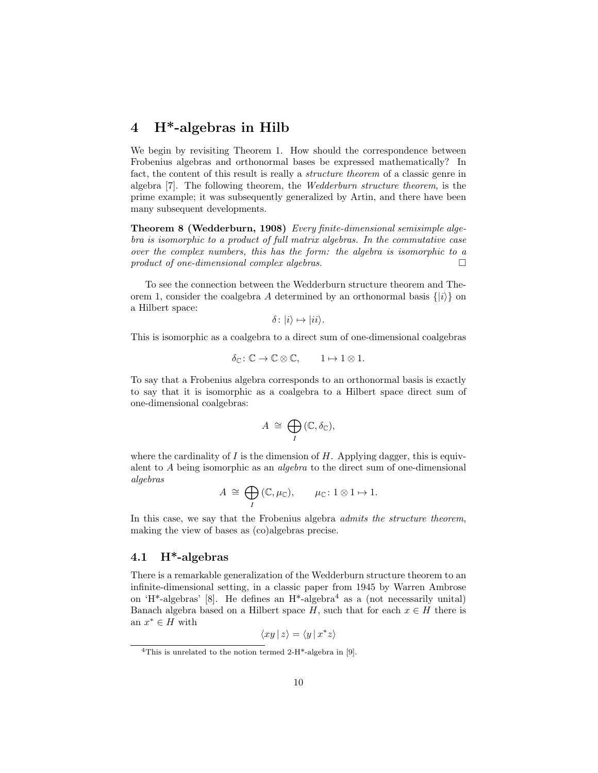# 4 H\*-algebras in Hilb

We begin by revisiting Theorem 1. How should the correspondence between Frobenius algebras and orthonormal bases be expressed mathematically? In fact, the content of this result is really a structure theorem of a classic genre in algebra [7]. The following theorem, the Wedderburn structure theorem, is the prime example; it was subsequently generalized by Artin, and there have been many subsequent developments.

Theorem 8 (Wedderburn, 1908) Every finite-dimensional semisimple algebra is isomorphic to a product of full matrix algebras. In the commutative case over the complex numbers, this has the form: the algebra is isomorphic to a product of one-dimensional complex algebras.  $\Box$ 

To see the connection between the Wedderburn structure theorem and Theorem 1, consider the coalgebra A determined by an orthonormal basis  $\{|i\rangle\}$  on a Hilbert space:

$$
\delta \colon |i\rangle \mapsto |ii\rangle.
$$

This is isomorphic as a coalgebra to a direct sum of one-dimensional coalgebras

$$
\delta_{\mathbb{C}} \colon \mathbb{C} \to \mathbb{C} \otimes \mathbb{C}, \qquad 1 \mapsto 1 \otimes 1.
$$

To say that a Frobenius algebra corresponds to an orthonormal basis is exactly to say that it is isomorphic as a coalgebra to a Hilbert space direct sum of one-dimensional coalgebras:

$$
A \cong \bigoplus_{I} (\mathbb{C}, \delta_{\mathbb{C}}),
$$

where the cardinality of I is the dimension of H. Applying dagger, this is equivalent to A being isomorphic as an algebra to the direct sum of one-dimensional algebras

$$
A \cong \bigoplus_{I} (\mathbb{C}, \mu_{\mathbb{C}}), \qquad \mu_{\mathbb{C}} \colon 1 \otimes 1 \mapsto 1.
$$

In this case, we say that the Frobenius algebra *admits the structure theorem*, making the view of bases as (co)algebras precise.

### 4.1 H\*-algebras

There is a remarkable generalization of the Wedderburn structure theorem to an infinite-dimensional setting, in a classic paper from 1945 by Warren Ambrose on 'H<sup>\*</sup>-algebras' [8]. He defines an  $H^*$ -algebra<sup>4</sup> as a (not necessarily unital) Banach algebra based on a Hilbert space H, such that for each  $x \in H$  there is an  $x^* \in H$  with

$$
\langle xy \, | \, z \rangle = \langle y \, | \, x^*z \rangle
$$

<sup>&</sup>lt;sup>4</sup>This is unrelated to the notion termed 2-H<sup>\*</sup>-algebra in [9].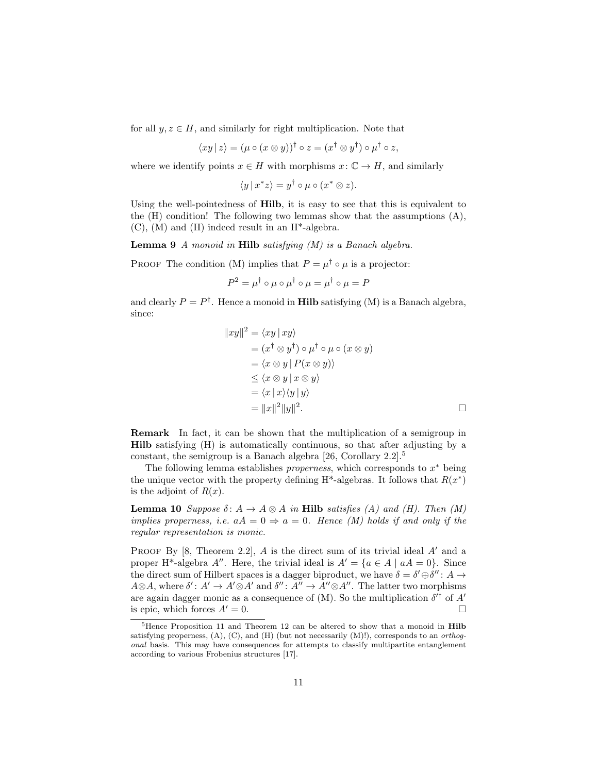for all  $y, z \in H$ , and similarly for right multiplication. Note that

$$
\langle xy \, | \, z \rangle = (\mu \circ (x \otimes y))^\dagger \circ z = (x^\dagger \otimes y^\dagger) \circ \mu^\dagger \circ z,
$$

where we identify points  $x \in H$  with morphisms  $x: \mathbb{C} \to H$ , and similarly

$$
\langle y \, | \, x^* z \rangle = y^\dagger \circ \mu \circ (x^* \otimes z).
$$

Using the well-pointedness of Hilb, it is easy to see that this is equivalent to the  $(H)$  condition! The following two lemmas show that the assumptions  $(A)$ ,  $(C)$ ,  $(M)$  and  $(H)$  indeed result in an  $H^*$ -algebra.

**Lemma 9** A monoid in **Hilb** satisfying  $(M)$  is a Banach algebra.

PROOF The condition (M) implies that  $P = \mu^{\dagger} \circ \mu$  is a projector:

$$
P^2 = \mu^{\dagger} \circ \mu \circ \mu^{\dagger} \circ \mu = \mu^{\dagger} \circ \mu = P
$$

and clearly  $P = P^{\dagger}$ . Hence a monoid in **Hilb** satisfying (M) is a Banach algebra, since:

$$
||xy||2 = \langle xy | xy \rangle
$$
  
=  $(x^{\dagger} \otimes y^{\dagger}) \circ \mu^{\dagger} \circ \mu \circ (x \otimes y)$   
=  $\langle x \otimes y | P(x \otimes y) \rangle$   
 $\leq \langle x \otimes y | x \otimes y \rangle$   
=  $\langle x | x \rangle \langle y | y \rangle$   
=  $||x||2||y||2$ .

Remark In fact, it can be shown that the multiplication of a semigroup in Hilb satisfying (H) is automatically continuous, so that after adjusting by a constant, the semigroup is a Banach algebra [26, Corollary 2.2].<sup>5</sup>

The following lemma establishes *properness*, which corresponds to  $x^*$  being the unique vector with the property defining  $H^*$ -algebras. It follows that  $R(x^*)$ is the adjoint of  $R(x)$ .

**Lemma 10** Suppose  $\delta: A \to A \otimes A$  in **Hilb** satisfies (A) and (H). Then (M) implies properness, i.e.  $aA = 0 \Rightarrow a = 0$ . Hence (M) holds if and only if the regular representation is monic.

PROOF By  $[8,$  Theorem 2.2, A is the direct sum of its trivial ideal A' and a proper H<sup>\*</sup>-algebra A''. Here, the trivial ideal is  $A' = \{a \in A \mid aA = 0\}$ . Since the direct sum of Hilbert spaces is a dagger biproduct, we have  $\delta = \delta' \oplus \delta'' : A \rightarrow$  $A \otimes A$ , where  $\delta' : A' \to A' \otimes A'$  and  $\delta'' : A'' \to A'' \otimes A''$ . The latter two morphisms are again dagger monic as a consequence of  $(M)$ . So the multiplication  $\delta'^{\dagger}$  of A' is epic, which forces  $A' = 0$ .

<sup>&</sup>lt;sup>5</sup>Hence Proposition 11 and Theorem 12 can be altered to show that a monoid in **Hilb** satisfying properness,  $(A)$ ,  $(C)$ , and  $(H)$  (but not necessarily  $(M)$ !), corresponds to an *orthog*onal basis. This may have consequences for attempts to classify multipartite entanglement according to various Frobenius structures [17].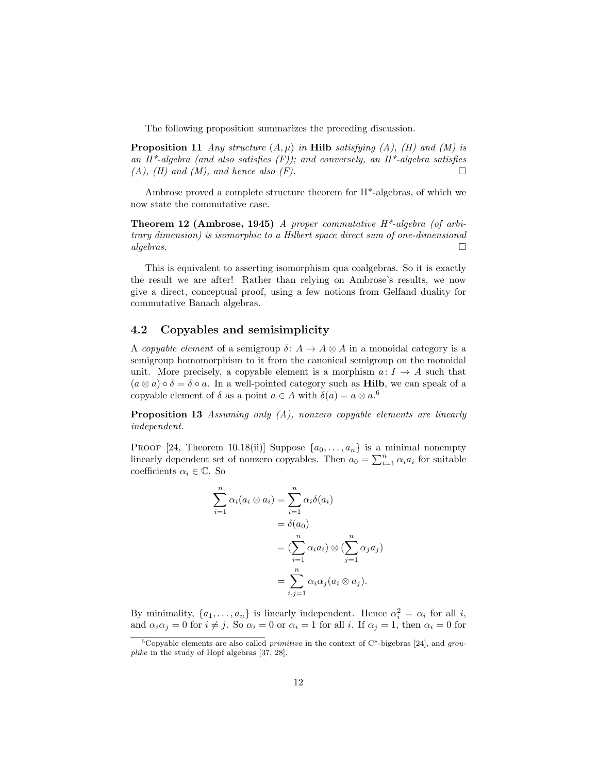The following proposition summarizes the preceding discussion.

**Proposition 11** Any structure  $(A, \mu)$  in **Hilb** satisfying  $(A)$ ,  $(H)$  and  $(M)$  is an  $H^*$ -algebra (and also satisfies  $(F)$ ); and conversely, an  $H^*$ -algebra satisfies  $(A)$ ,  $(H)$  and  $(M)$ , and hence also  $(F)$ .

Ambrose proved a complete structure theorem for H\*-algebras, of which we now state the commutative case.

**Theorem 12 (Ambrose, 1945)** A proper commutative  $H^*$ -algebra (of arbitrary dimension) is isomorphic to a Hilbert space direct sum of one-dimensional  $algebras.$ 

This is equivalent to asserting isomorphism qua coalgebras. So it is exactly the result we are after! Rather than relying on Ambrose's results, we now give a direct, conceptual proof, using a few notions from Gelfand duality for commutative Banach algebras.

# 4.2 Copyables and semisimplicity

A copyable element of a semigroup  $\delta: A \to A \otimes A$  in a monoidal category is a semigroup homomorphism to it from the canonical semigroup on the monoidal unit. More precisely, a copyable element is a morphism  $a: I \rightarrow A$  such that  $(a \otimes a) \circ \delta = \delta \circ a$ . In a well-pointed category such as **Hilb**, we can speak of a copyable element of  $\delta$  as a point  $a \in A$  with  $\delta(a) = a \otimes a$ .<sup>6</sup>

**Proposition 13** Assuming only  $(A)$ , nonzero copyable elements are linearly independent.

PROOF [24, Theorem 10.18(ii)] Suppose  $\{a_0, \ldots, a_n\}$  is a minimal nonempty linearly dependent set of nonzero copyables. Then  $a_0 = \sum_{i=1}^n \alpha_i a_i$  for suitable coefficients  $\alpha_i \in \mathbb{C}$ . So

$$
\sum_{i=1}^{n} \alpha_i (a_i \otimes a_i) = \sum_{i=1}^{n} \alpha_i \delta(a_i)
$$
  
=  $\delta(a_0)$   
=  $(\sum_{i=1}^{n} \alpha_i a_i) \otimes (\sum_{j=1}^{n} \alpha_j a_j)$   
=  $\sum_{i,j=1}^{n} \alpha_i \alpha_j (a_i \otimes a_j).$ 

By minimality,  $\{a_1, \ldots, a_n\}$  is linearly independent. Hence  $\alpha_i^2 = \alpha_i$  for all i, and  $\alpha_i \alpha_j = 0$  for  $i \neq j$ . So  $\alpha_i = 0$  or  $\alpha_i = 1$  for all i. If  $\alpha_j = 1$ , then  $\alpha_i = 0$  for

<sup>&</sup>lt;sup>6</sup>Copyable elements are also called *primitive* in the context of  $C^*$ -bigebras [24], and grouplike in the study of Hopf algebras [37, 28].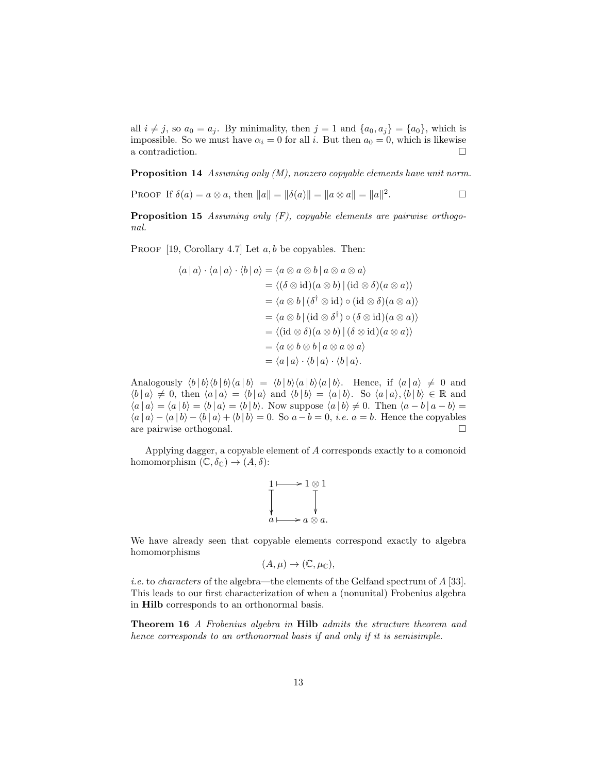all  $i \neq j$ , so  $a_0 = a_j$ . By minimality, then  $j = 1$  and  $\{a_0, a_j\} = \{a_0\}$ , which is impossible. So we must have  $\alpha_i = 0$  for all i. But then  $a_0 = 0$ , which is likewise a contradiction.  $\hfill \square$ 

Proposition 14 Assuming only (M), nonzero copyable elements have unit norm.

PROOF If  $\delta(a) = a \otimes a$ , then  $||a|| = ||\delta(a)|| = ||a \otimes a|| = ||a||^2$ . — Первый просто просто просто просто просто просто просто просто просто просто просто просто просто просто п<br>В просто просто просто просто просто просто просто просто просто просто просто просто просто просто просто про

**Proposition 15** Assuming only  $(F)$ , copyable elements are pairwise orthogonal.

PROOF [19, Corollary 4.7] Let  $a, b$  be copyables. Then:

$$
\langle a | a \rangle \cdot \langle a | a \rangle \cdot \langle b | a \rangle = \langle a \otimes a \otimes b | a \otimes a \otimes a \rangle
$$
  
\n
$$
= \langle (\delta \otimes id)(a \otimes b) | (id \otimes \delta)(a \otimes a) \rangle
$$
  
\n
$$
= \langle a \otimes b | (\delta^{\dagger} \otimes id) \circ (id \otimes \delta)(a \otimes a) \rangle
$$
  
\n
$$
= \langle a \otimes b | (id \otimes \delta^{\dagger}) \circ (\delta \otimes id)(a \otimes a) \rangle
$$
  
\n
$$
= \langle (id \otimes \delta)(a \otimes b) | (\delta \otimes id)(a \otimes a) \rangle
$$
  
\n
$$
= \langle a \otimes b \otimes b | a \otimes a \otimes a \rangle
$$
  
\n
$$
= \langle a | a \rangle \cdot \langle b | a \rangle \cdot \langle b | a \rangle.
$$

Analogously  $\langle b | b \rangle \langle b | b \rangle \langle a | b \rangle = \langle b | b \rangle \langle a | b \rangle \langle a | b \rangle$ . Hence, if  $\langle a | a \rangle \neq 0$  and  $\langle b | a \rangle \neq 0$ , then  $\langle a | a \rangle = \langle b | a \rangle$  and  $\langle b | b \rangle = \langle a | b \rangle$ . So  $\langle a | a \rangle$ ,  $\langle b | b \rangle \in \mathbb{R}$  and  $\langle a | a \rangle = \langle a | b \rangle = \langle b | a \rangle = \langle b | b \rangle$ . Now suppose  $\langle a | b \rangle \neq 0$ . Then  $\langle a - b | a - b \rangle =$  $\langle a | a \rangle - \langle a | b \rangle - \langle b | a \rangle + \langle b | b \rangle = 0$ . So  $a - b = 0$ , *i.e.*  $a = b$ . Hence the copyables are pairwise orthogonal.

Applying dagger, a copyable element of A corresponds exactly to a comonoid homomorphism  $(\mathbb{C}, \delta_{\mathbb{C}}) \to (A, \delta)$ :

$$
\begin{array}{c}\n1 \longmapsto 1 \otimes 1 \\
\downarrow \qquad \qquad \downarrow \\
a \longmapsto a \otimes a.\n\end{array}
$$

We have already seen that copyable elements correspond exactly to algebra homomorphisms

$$
(A,\mu)\to(\mathbb{C},\mu_{\mathbb{C}}),
$$

i.e. to characters of the algebra—the elements of the Gelfand spectrum of A [33]. This leads to our first characterization of when a (nonunital) Frobenius algebra in Hilb corresponds to an orthonormal basis.

Theorem 16 A Frobenius algebra in Hilb admits the structure theorem and hence corresponds to an orthonormal basis if and only if it is semisimple.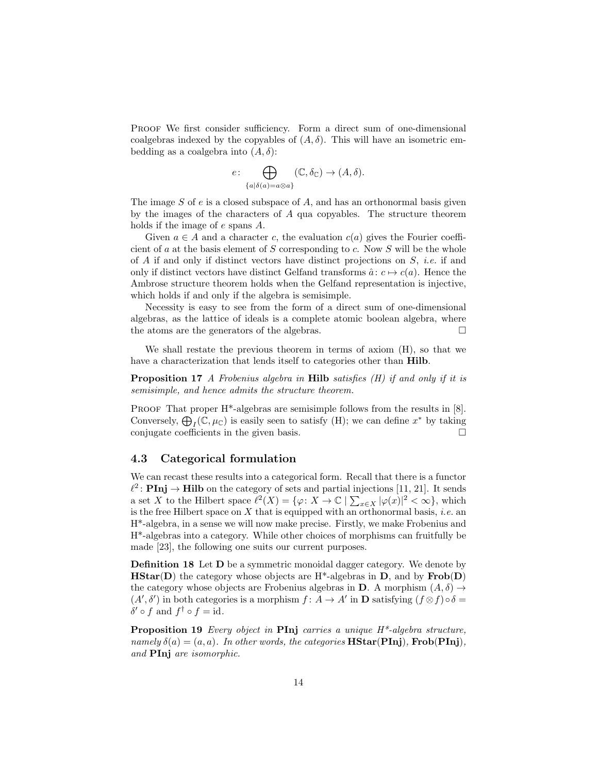PROOF We first consider sufficiency. Form a direct sum of one-dimensional coalgebras indexed by the copyables of  $(A, \delta)$ . This will have an isometric embedding as a coalgebra into  $(A, \delta)$ :

$$
e \colon \bigoplus_{\{a\mid \delta(a)=a\otimes a\}} (\mathbb{C}, \delta_{\mathbb{C}}) \to (A, \delta).
$$

The image  $S$  of  $e$  is a closed subspace of  $A$ , and has an orthonormal basis given by the images of the characters of A qua copyables. The structure theorem holds if the image of e spans A.

Given  $a \in A$  and a character c, the evaluation  $c(a)$  gives the Fourier coefficient of a at the basis element of S corresponding to c. Now S will be the whole of A if and only if distinct vectors have distinct projections on  $S$ , *i.e.* if and only if distinct vectors have distinct Gelfand transforms  $\hat{a}: c \mapsto c(a)$ . Hence the Ambrose structure theorem holds when the Gelfand representation is injective, which holds if and only if the algebra is semisimple.

Necessity is easy to see from the form of a direct sum of one-dimensional algebras, as the lattice of ideals is a complete atomic boolean algebra, where the atoms are the generators of the algebras.  $\square$ 

We shall restate the previous theorem in terms of axiom (H), so that we have a characterization that lends itself to categories other than Hilb.

Proposition 17 A Frobenius algebra in Hilb satisfies (H) if and only if it is semisimple, and hence admits the structure theorem.

PROOF That proper H<sup>\*</sup>-algebras are semisimple follows from the results in [8]. Conversely,  $\bigoplus_{I} (\mathbb{C}, \mu_{\mathbb{C}})$  is easily seen to satisfy (H); we can define  $x^*$  by taking conjugate coefficients in the given basis.  $\Box$ 

### 4.3 Categorical formulation

We can recast these results into a categorical form. Recall that there is a functor  $\ell^2$ : **PInj**  $\rightarrow$  **Hilb** on the category of sets and partial injections [11, 21]. It sends a set X to the Hilbert space  $\ell^2(X) = \{ \varphi \colon X \to \mathbb{C} \mid \sum_{x \in X} |\varphi(x)|^2 < \infty \},\$  which is the free Hilbert space on X that is equipped with an orthonormal basis, *i.e.* an H\*-algebra, in a sense we will now make precise. Firstly, we make Frobenius and H\*-algebras into a category. While other choices of morphisms can fruitfully be made [23], the following one suits our current purposes.

Definition 18 Let D be a symmetric monoidal dagger category. We denote by **HStar(D)** the category whose objects are  $H^*$ -algebras in D, and by  $Frob(D)$ the category whose objects are Frobenius algebras in **D**. A morphism  $(A, \delta) \rightarrow$  $(A', \delta')$  in both categories is a morphism  $f : A \to A'$  in **D** satisfying  $(f \otimes f) \circ \delta =$  $\delta' \circ f$  and  $f^{\dagger} \circ f = id$ .

**Proposition 19** Every object in **PInj** carries a unique  $H^*$ -algebra structure, namely  $\delta(a) = (a, a)$ . In other words, the categories  $\bf{HStar(Pinj)}$ ,  $\bf{Frob(Pinj)}$ , and PInj are isomorphic.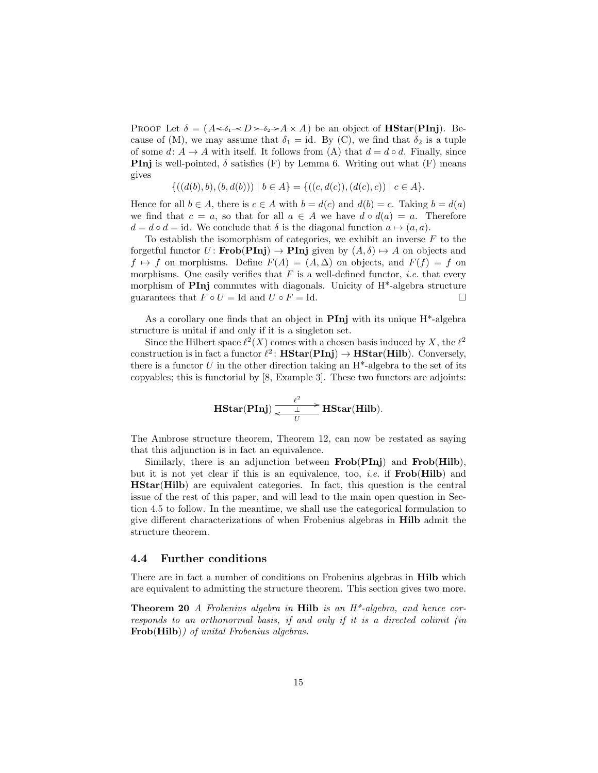PROOF Let  $\delta = (A \leftarrow \delta_1 \rightarrow D \rightarrow \delta_2 \rightarrow A \times A)$  be an object of **HStar(PInj**). Because of (M), we may assume that  $\delta_1 = id$ . By (C), we find that  $\delta_2$  is a tuple of some  $d: A \to A$  with itself. It follows from (A) that  $d = d \circ d$ . Finally, since **PInj** is well-pointed,  $\delta$  satisfies (F) by Lemma 6. Writing out what (F) means gives

$$
\{((d(b),b),(b,d(b))) \mid b \in A\} = \{((c,d(c)),(d(c),c)) \mid c \in A\}.
$$

Hence for all  $b \in A$ , there is  $c \in A$  with  $b = d(c)$  and  $d(b) = c$ . Taking  $b = d(a)$ we find that  $c = a$ , so that for all  $a \in A$  we have  $d \circ d(a) = a$ . Therefore  $d = d \circ d = id$ . We conclude that  $\delta$  is the diagonal function  $a \mapsto (a, a)$ .

To establish the isomorphism of categories, we exhibit an inverse  $F$  to the forgetful functor  $U$ : **Frob**(**PInj**)  $\rightarrow$  **PInj** given by  $(A, \delta) \rightarrow A$  on objects and  $f \mapsto f$  on morphisms. Define  $F(A) = (A, \Delta)$  on objects, and  $F(f) = f$  on morphisms. One easily verifies that  $F$  is a well-defined functor, *i.e.* that every morphism of **PInj** commutes with diagonals. Unicity of  $H^*$ -algebra structure guarantees that  $F \circ U = \text{Id}$  and  $U \circ F = \text{Id}$ .

As a corollary one finds that an object in **PInj** with its unique  $H^*$ -algebra structure is unital if and only if it is a singleton set.

Since the Hilbert space  $\ell^2(X)$  comes with a chosen basis induced by X, the  $\ell^2$ construction is in fact a functor  $\ell^2$ : **HStar(PInj)**  $\rightarrow$  **HStar(Hilb)**. Conversely, there is a functor  $U$  in the other direction taking an  $H^*$ -algebra to the set of its copyables; this is functorial by [8, Example 3]. These two functors are adjoints:

$$
\mathbf{HStar}(\mathbf{Pinj}) \xrightarrow[\text{$U$}]{\ell^2} \mathbf{HStar}(\mathbf{Hilb}).
$$

The Ambrose structure theorem, Theorem 12, can now be restated as saying that this adjunction is in fact an equivalence.

Similarly, there is an adjunction between **Frob**(PInj) and **Frob**(Hilb), but it is not yet clear if this is an equivalence, too, *i.e.* if  $Frob(Hilb)$  and HStar(Hilb) are equivalent categories. In fact, this question is the central issue of the rest of this paper, and will lead to the main open question in Section 4.5 to follow. In the meantime, we shall use the categorical formulation to give different characterizations of when Frobenius algebras in Hilb admit the structure theorem.

#### 4.4 Further conditions

There are in fact a number of conditions on Frobenius algebras in Hilb which are equivalent to admitting the structure theorem. This section gives two more.

**Theorem 20** A Frobenius algebra in **Hilb** is an  $H^*$ -algebra, and hence corresponds to an orthonormal basis, if and only if it is a directed colimit (in Frob(Hilb)) of unital Frobenius algebras.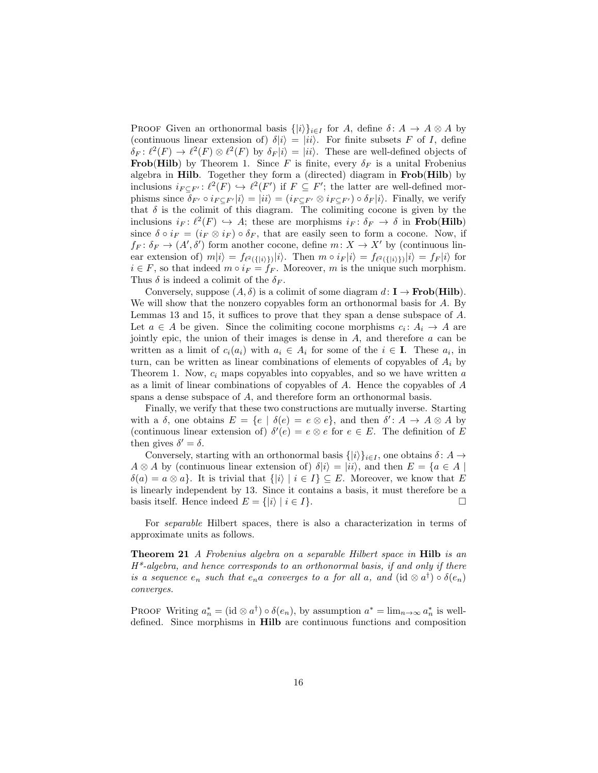PROOF Given an orthonormal basis  $\{|i\rangle\}_{i\in I}$  for A, define  $\delta: A \to A \otimes A$  by (continuous linear extension of)  $\delta|i\rangle = |ii\rangle$ . For finite subsets F of I, define  $\delta_F \colon \ell^2(F) \to \ell^2(F) \otimes \ell^2(F)$  by  $\delta_F|i\rangle = |ii\rangle$ . These are well-defined objects of **Frob(Hilb)** by Theorem 1. Since F is finite, every  $\delta_F$  is a unital Frobenius algebra in Hilb. Together they form a (directed) diagram in Frob(Hilb) by inclusions  $i_{F \subseteq F'} : \ell^2(F) \hookrightarrow \ell^2(F')$  if  $F \subseteq F'$ ; the latter are well-defined morphisms since  $\delta_{F'} \circ i_{F \subset F'} |i\rangle = |ii\rangle = (i_{F \subset F'} \otimes i_{F \subset F'}) \circ \delta_F |i\rangle$ . Finally, we verify that  $\delta$  is the colimit of this diagram. The colimiting cocone is given by the inclusions  $i_F: \ell^2(F) \hookrightarrow A$ ; these are morphisms  $i_F: \delta_F \to \delta$  in **Frob**(**Hilb**) since  $\delta \circ i_F = (i_F \otimes i_F) \circ \delta_F$ , that are easily seen to form a cocone. Now, if  $f_F: \delta_F \to (A', \delta')$  form another cocone, define  $m: X \to X'$  by (continuous linear extension of)  $m|i\rangle = f_{\ell^2({{|i\rangle}\rangle})}|i\rangle$ . Then  $m \circ i_F|i\rangle = f_{\ell^2({{|i\rangle}\rangle})}|i\rangle = f_F|i\rangle$  for  $i \in F$ , so that indeed  $m \circ i_F = f_F$ . Moreover, m is the unique such morphism. Thus  $\delta$  is indeed a colimit of the  $\delta_F$ .

Conversely, suppose  $(A, \delta)$  is a colimit of some diagram  $d: I \to \textbf{Frob(Hilb)}$ . We will show that the nonzero copyables form an orthonormal basis for A. By Lemmas 13 and 15, it suffices to prove that they span a dense subspace of A. Let  $a \in A$  be given. Since the colimiting cocone morphisms  $c_i: A_i \to A$  are jointly epic, the union of their images is dense in  $A$ , and therefore  $a$  can be written as a limit of  $c_i(a_i)$  with  $a_i \in A_i$  for some of the  $i \in I$ . These  $a_i$ , in turn, can be written as linear combinations of elements of copyables of  $A_i$  by Theorem 1. Now,  $c_i$  maps copyables into copyables, and so we have written a as a limit of linear combinations of copyables of A. Hence the copyables of A spans a dense subspace of A, and therefore form an orthonormal basis.

Finally, we verify that these two constructions are mutually inverse. Starting with a  $\delta$ , one obtains  $E = \{e \mid \delta(e) = e \otimes e\}$ , and then  $\delta' : A \to A \otimes A$  by (continuous linear extension of)  $\delta'(e) = e \otimes e$  for  $e \in E$ . The definition of E then gives  $\delta' = \delta$ .

Conversely, starting with an orthonormal basis  $\{|i\rangle\}_{i\in I}$ , one obtains  $\delta: A \to$  $A \otimes A$  by (continuous linear extension of)  $\delta|i\rangle = |ii\rangle$ , and then  $E = \{a \in A \mid$  $\delta(a) = a \otimes a$ . It is trivial that  $\{|i\rangle | i \in I\} \subseteq E$ . Moreover, we know that E is linearly independent by 13. Since it contains a basis, it must therefore be a basis itself. Hence indeed  $E = \{ |i\rangle | i \in I \}$ .

For separable Hilbert spaces, there is also a characterization in terms of approximate units as follows.

Theorem 21 A Frobenius algebra on a separable Hilbert space in Hilb is an  $H^*$ -algebra, and hence corresponds to an orthonormal basis, if and only if there is a sequence  $e_n$  such that  $e_n a$  converges to a for all a, and  $(id \otimes a^{\dagger}) \circ \delta(e_n)$ converges.

PROOF Writing  $a_n^* = (\text{id} \otimes a^{\dagger}) \circ \delta(e_n)$ , by assumption  $a^* = \lim_{n \to \infty} a_n^*$  is welldefined. Since morphisms in Hilb are continuous functions and composition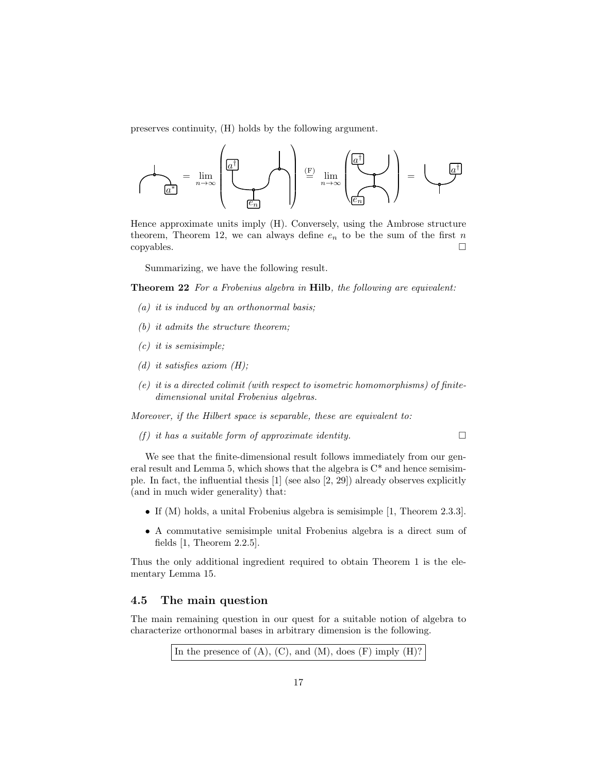preserves continuity, (H) holds by the following argument.



Hence approximate units imply (H). Conversely, using the Ambrose structure theorem, Theorem 12, we can always define  $e_n$  to be the sum of the first n copyables.

Summarizing, we have the following result.

**Theorem 22** For a Frobenius algebra in **Hilb**, the following are equivalent:

- $(a)$  it is induced by an orthonormal basis;
- (b) it admits the structure theorem;
- $(c)$  it is semisimple;
- (d) it satisfies axiom  $(H)$ ;
- $(e)$  it is a directed colimit (with respect to isometric homomorphisms) of finitedimensional unital Frobenius algebras.

Moreover, if the Hilbert space is separable, these are equivalent to:

(f) it has a suitable form of approximate identity.

We see that the finite-dimensional result follows immediately from our general result and Lemma 5, which shows that the algebra is  $C^*$  and hence semisimple. In fact, the influential thesis [1] (see also [2, 29]) already observes explicitly (and in much wider generality) that:

- If (M) holds, a unital Frobenius algebra is semisimple [1, Theorem 2.3.3].
- A commutative semisimple unital Frobenius algebra is a direct sum of fields [1, Theorem 2.2.5].

Thus the only additional ingredient required to obtain Theorem 1 is the elementary Lemma 15.

## 4.5 The main question

The main remaining question in our quest for a suitable notion of algebra to characterize orthonormal bases in arbitrary dimension is the following.

In the presence of  $(A)$ ,  $(C)$ , and  $(M)$ , does  $(F)$  imply  $(H)$ ?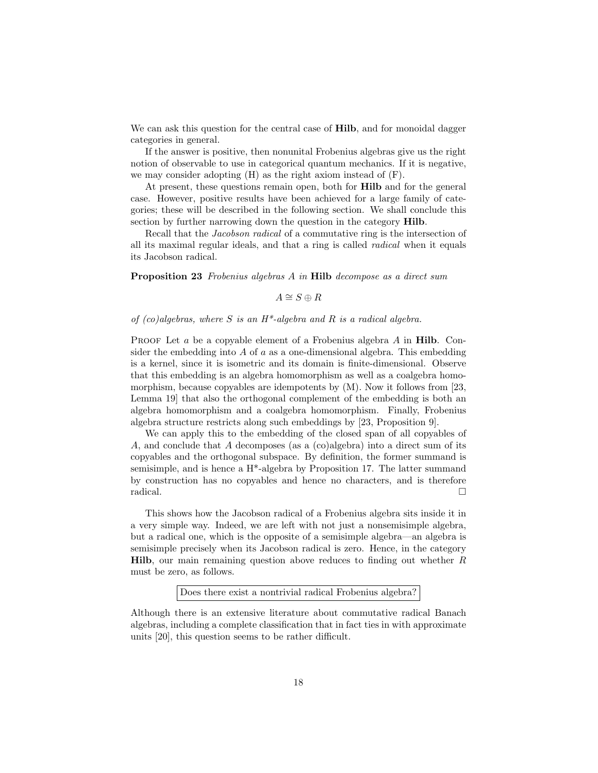We can ask this question for the central case of **Hilb**, and for monoidal dagger categories in general.

If the answer is positive, then nonunital Frobenius algebras give us the right notion of observable to use in categorical quantum mechanics. If it is negative, we may consider adopting (H) as the right axiom instead of (F).

At present, these questions remain open, both for Hilb and for the general case. However, positive results have been achieved for a large family of categories; these will be described in the following section. We shall conclude this section by further narrowing down the question in the category Hilb.

Recall that the Jacobson radical of a commutative ring is the intersection of all its maximal regular ideals, and that a ring is called radical when it equals its Jacobson radical.

Proposition 23 Frobenius algebras A in Hilb decompose as a direct sum

```
A \cong S \oplus R
```
#### of  $(co)$ algebras, where S is an H<sup>\*</sup>-algebra and R is a radical algebra.

PROOF Let  $a$  be a copyable element of a Frobenius algebra  $A$  in **Hilb.** Consider the embedding into  $\vec{A}$  of  $\vec{a}$  as a one-dimensional algebra. This embedding is a kernel, since it is isometric and its domain is finite-dimensional. Observe that this embedding is an algebra homomorphism as well as a coalgebra homomorphism, because copyables are idempotents by (M). Now it follows from [23, Lemma 19] that also the orthogonal complement of the embedding is both an algebra homomorphism and a coalgebra homomorphism. Finally, Frobenius algebra structure restricts along such embeddings by [23, Proposition 9].

We can apply this to the embedding of the closed span of all copyables of A, and conclude that A decomposes (as a (co)algebra) into a direct sum of its copyables and the orthogonal subspace. By definition, the former summand is semisimple, and is hence a H\*-algebra by Proposition 17. The latter summand by construction has no copyables and hence no characters, and is therefore radical.

This shows how the Jacobson radical of a Frobenius algebra sits inside it in a very simple way. Indeed, we are left with not just a nonsemisimple algebra, but a radical one, which is the opposite of a semisimple algebra—an algebra is semisimple precisely when its Jacobson radical is zero. Hence, in the category **Hilb**, our main remaining question above reduces to finding out whether  $R$ must be zero, as follows.

Does there exist a nontrivial radical Frobenius algebra?

Although there is an extensive literature about commutative radical Banach algebras, including a complete classification that in fact ties in with approximate units [20], this question seems to be rather difficult.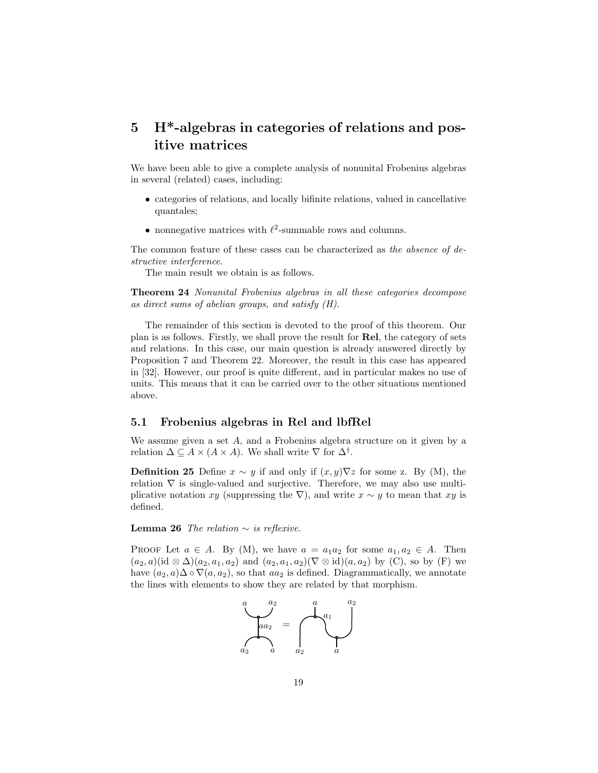# 5 H\*-algebras in categories of relations and positive matrices

We have been able to give a complete analysis of nonunital Frobenius algebras in several (related) cases, including:

- categories of relations, and locally bifinite relations, valued in cancellative quantales;
- nonnegative matrices with  $\ell^2$ -summable rows and columns.

The common feature of these cases can be characterized as the absence of destructive interference.

The main result we obtain is as follows.

Theorem 24 Nonunital Frobenius algebras in all these categories decompose as direct sums of abelian groups, and satisfy (H).

The remainder of this section is devoted to the proof of this theorem. Our plan is as follows. Firstly, we shall prove the result for Rel, the category of sets and relations. In this case, our main question is already answered directly by Proposition 7 and Theorem 22. Moreover, the result in this case has appeared in [32]. However, our proof is quite different, and in particular makes no use of units. This means that it can be carried over to the other situations mentioned above.

### 5.1 Frobenius algebras in Rel and lbfRel

We assume given a set A, and a Frobenius algebra structure on it given by a relation  $\Delta \subseteq A \times (A \times A)$ . We shall write  $\nabla$  for  $\Delta^{\dagger}$ .

**Definition 25** Define  $x \sim y$  if and only if  $(x, y) \nabla z$  for some z. By (M), the relation  $\nabla$  is single-valued and surjective. Therefore, we may also use multiplicative notation xy (suppressing the  $\nabla$ ), and write  $x \sim y$  to mean that xy is defined.

Lemma 26 The relation  $\sim$  is reflexive.

PROOF Let  $a \in A$ . By (M), we have  $a = a_1 a_2$  for some  $a_1, a_2 \in A$ . Then  $(a_2, a)$ (id ⊗  $\Delta$ )( $a_2, a_1, a_2$ ) and  $(a_2, a_1, a_2)$ ( $\nabla$  ⊗ id)( $a, a_2$ ) by (C), so by (F) we have  $(a_2, a)$ ∆ ∘  $\nabla(a, a_2)$ , so that  $aa_2$  is defined. Diagrammatically, we annotate the lines with elements to show they are related by that morphism.

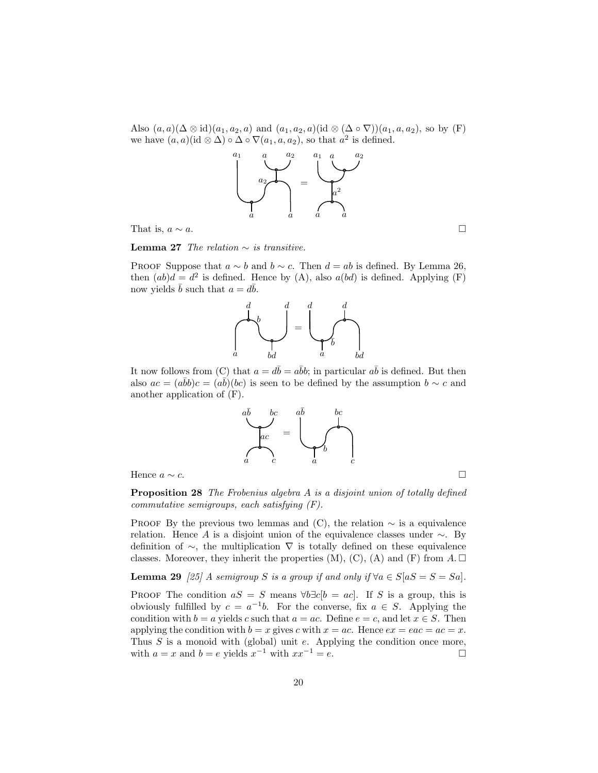Also  $(a, a)(\Delta \otimes id)(a_1, a_2, a)$  and  $(a_1, a_2, a)(id \otimes (\Delta \circ \nabla))(a_1, a, a_2)$ , so by (F) we have  $(a, a)$  (id  $\otimes \Delta$ )  $\circ \Delta \circ \nabla(a_1, a, a_2)$ , so that  $a^2$  is defined.



That is,  $a \sim a$ .

Lemma 27 The relation  $\sim$  is transitive.

PROOF Suppose that  $a \sim b$  and  $b \sim c$ . Then  $d = ab$  is defined. By Lemma 26, then  $(ab)d = d^2$  is defined. Hence by (A), also  $a(bd)$  is defined. Applying (F) now yields  $\bar{b}$  such that  $a = d\bar{b}$ .



It now follows from (C) that  $a = d\bar{b} = a\bar{b}b$ ; in particular  $a\bar{b}$  is defined. But then also  $ac = (a\bar{b}b)c = (a\bar{b})(bc)$  is seen to be defined by the assumption  $b \sim c$  and another application of (F).



Proposition 28 The Frobenius algebra A is a disjoint union of totally defined commutative semigroups, each satisfying (F).

PROOF By the previous two lemmas and (C), the relation  $\sim$  is a equivalence relation. Hence A is a disjoint union of the equivalence classes under  $\sim$ . By definition of ∼, the multiplication ∇ is totally defined on these equivalence classes. Moreover, they inherit the properties  $(M)$ ,  $(C)$ ,  $(A)$  and  $(F)$  from  $A \square$ 

Lemma 29 [25] A semigroup S is a group if and only if  $\forall a \in S \mid aS = S = Sa$ .

PROOF The condition  $aS = S$  means  $\forall b \exists c [b = ac]$ . If S is a group, this is obviously fulfilled by  $c = a^{-1}b$ . For the converse, fix  $a \in S$ . Applying the condition with  $b = a$  yields c such that  $a = ac$ . Define  $e = c$ , and let  $x \in S$ . Then applying the condition with  $b = x$  gives c with  $x = ac$ . Hence  $ex = eac = ac = x$ . Thus  $S$  is a monoid with (global) unit  $e$ . Applying the condition once more, with  $a = x$  and  $b = e$  yields  $x^{-1}$  with  $xx^{-1} = e$ .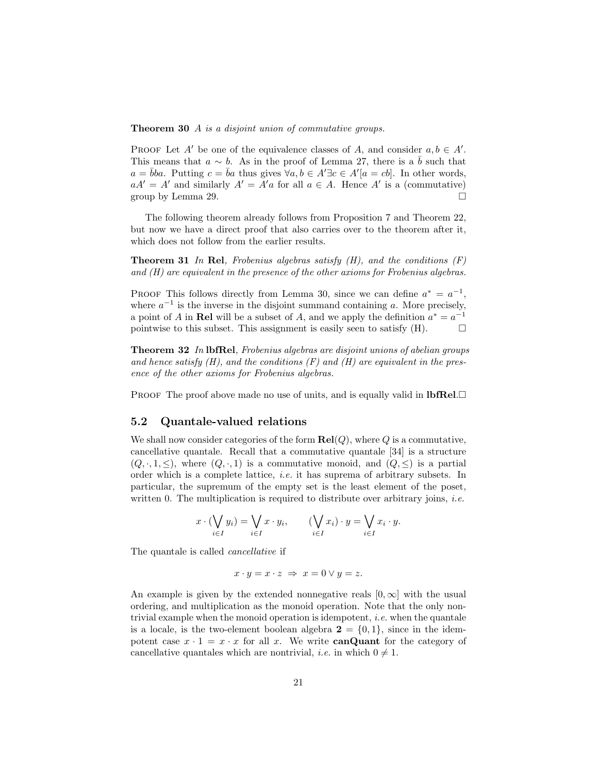Theorem 30 A is a disjoint union of commutative groups.

PROOF Let A' be one of the equivalence classes of A, and consider  $a, b \in A'$ . This means that  $a \sim b$ . As in the proof of Lemma 27, there is a  $\bar{b}$  such that  $a = \overline{b}ba$ . Putting  $c = \overline{b}a$  thus gives  $\forall a, b \in A' \exists c \in A'[a = cb]$ . In other words,  $aA' = A'$  and similarly  $A' = A'a$  for all  $a \in A$ . Hence A' is a (commutative) group by Lemma 29.  $\Box$ 

The following theorem already follows from Proposition 7 and Theorem 22, but now we have a direct proof that also carries over to the theorem after it, which does not follow from the earlier results.

**Theorem 31** In Rel, Frobenius algebras satisfy  $(H)$ , and the conditions  $(F)$ and (H) are equivalent in the presence of the other axioms for Frobenius algebras.

PROOF This follows directly from Lemma 30, since we can define  $a^* = a^{-1}$ , where  $a^{-1}$  is the inverse in the disjoint summand containing a. More precisely, a point of A in Rel will be a subset of A, and we apply the definition  $a^* = a^{-1}$ pointwise to this subset. This assignment is easily seen to satisfy  $(H)$ .

**Theorem 32** In lbfRel, Frobenius algebras are disjoint unions of abelian groups and hence satisfy  $(H)$ , and the conditions  $(F)$  and  $(H)$  are equivalent in the presence of the other axioms for Frobenius algebras.

PROOF The proof above made no use of units, and is equally valid in  $\text{lbfRel.} \Box$ 

### 5.2 Quantale-valued relations

We shall now consider categories of the form  $\text{Rel}(Q)$ , where Q is a commutative, cancellative quantale. Recall that a commutative quantale [34] is a structure  $(Q, \cdot, 1, \leq)$ , where  $(Q, \cdot, 1)$  is a commutative monoid, and  $(Q, \leq)$  is a partial order which is a complete lattice, i.e. it has suprema of arbitrary subsets. In particular, the supremum of the empty set is the least element of the poset, written 0. The multiplication is required to distribute over arbitrary joins, *i.e.* 

$$
x \cdot (\bigvee_{i \in I} y_i) = \bigvee_{i \in I} x \cdot y_i, \qquad (\bigvee_{i \in I} x_i) \cdot y = \bigvee_{i \in I} x_i \cdot y.
$$

The quantale is called cancellative if

$$
x \cdot y = x \cdot z \implies x = 0 \lor y = z.
$$

An example is given by the extended nonnegative reals  $[0, \infty]$  with the usual ordering, and multiplication as the monoid operation. Note that the only nontrivial example when the monoid operation is idempotent, i.e. when the quantale is a locale, is the two-element boolean algebra  $2 = \{0, 1\}$ , since in the idempotent case  $x \cdot 1 = x \cdot x$  for all x. We write **canQuant** for the category of cancellative quantales which are nontrivial, *i.e.* in which  $0 \neq 1$ .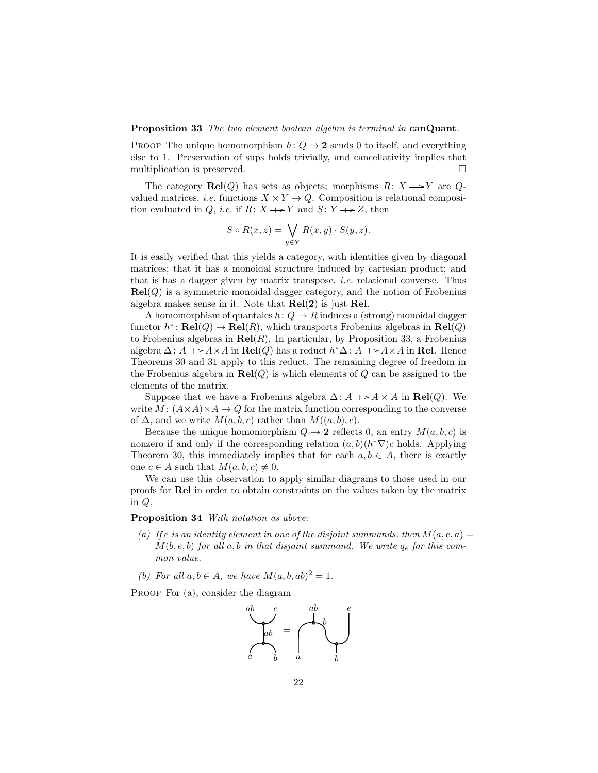Proposition 33 The two element boolean algebra is terminal in canQuant.

PROOF The unique homomorphism  $h: Q \rightarrow 2$  sends 0 to itself, and everything else to 1. Preservation of sups holds trivially, and cancellativity implies that multiplication is preserved.

The category  $\text{Rel}(Q)$  has sets as objects; morphisms  $R: X \rightarrow Y$  are  $Q$ valued matrices, *i.e.* functions  $X \times Y \to Q$ . Composition is relational composition evaluated in Q, *i.e.* if  $R: X \rightarrow Y$  and  $S: Y \rightarrow Z$ , then

$$
S \circ R(x, z) = \bigvee_{y \in Y} R(x, y) \cdot S(y, z).
$$

It is easily verified that this yields a category, with identities given by diagonal matrices; that it has a monoidal structure induced by cartesian product; and that is has a dagger given by matrix transpose, i.e. relational converse. Thus  $\text{Rel}(Q)$  is a symmetric monoidal dagger category, and the notion of Frobenius algebra makes sense in it. Note that  $Rel(2)$  is just Rel.

A homomorphism of quantales  $h: Q \to R$  induces a (strong) monoidal dagger functor  $h^* \colon \mathbf{Rel}(Q) \to \mathbf{Rel}(R)$ , which transports Frobenius algebras in  $\mathbf{Rel}(Q)$ to Frobenius algebras in  $\text{Rel}(R)$ . In particular, by Proposition 33, a Frobenius algebra  $\Delta: A \longrightarrow A \times A$  in  $\text{Rel}(Q)$  has a reduct  $h^* \Delta: A \longrightarrow A \times A$  in  $\text{Rel.}$  Hence Theorems 30 and 31 apply to this reduct. The remaining degree of freedom in the Frobenius algebra in  $\text{Rel}(Q)$  is which elements of  $Q$  can be assigned to the elements of the matrix.

Suppose that we have a Frobenius algebra  $\Delta: A \rightarrow A \times A$  in  $\text{Rel}(Q)$ . We write  $M : (A \times A) \times A \rightarrow Q$  for the matrix function corresponding to the converse of  $\Delta$ , and we write  $M(a, b, c)$  rather than  $M((a, b), c)$ .

Because the unique homomorphism  $Q \to 2$  reflects 0, an entry  $M(a, b, c)$  is nonzero if and only if the corresponding relation  $(a, b)(h^*\nabla)c$  holds. Applying Theorem 30, this immediately implies that for each  $a, b \in A$ , there is exactly one  $c \in A$  such that  $M(a, b, c) \neq 0$ .

We can use this observation to apply similar diagrams to those used in our proofs for Rel in order to obtain constraints on the values taken by the matrix in Q.

Proposition 34 With notation as above:

- (a) If e is an identity element in one of the disjoint summands, then  $M(a, e, a) =$  $M(b, e, b)$  for all a, b in that disjoint summand. We write  $q_e$  for this common value.
- (b) For all  $a, b \in A$ , we have  $M(a, b, ab)^2 = 1$ .

PROOF For (a), consider the diagram

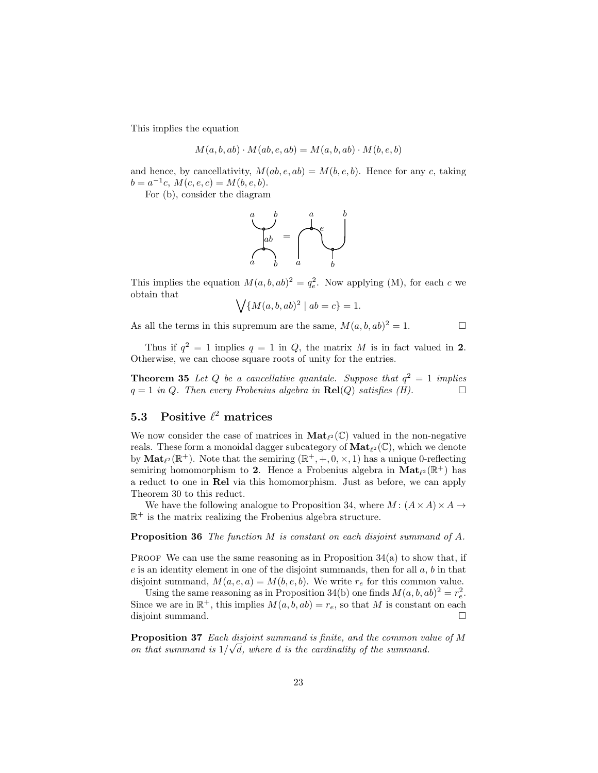This implies the equation

$$
M(a, b, ab) \cdot M(ab, e, ab) = M(a, b, ab) \cdot M(b, e, b)
$$

and hence, by cancellativity,  $M(ab, e, ab) = M(b, e, b)$ . Hence for any c, taking  $b = a^{-1}c, M(c, e, c) = M(b, e, b).$ 

For (b), consider the diagram



This implies the equation  $M(a, b, ab)^2 = q_e^2$ . Now applying (M), for each c we obtain that

$$
\bigvee \{ M(a, b, ab)^2 \mid ab = c \} = 1.
$$

As all the terms in this supremum are the same,  $M(a, b, ab)^2 = 1$ .

Thus if  $q^2 = 1$  implies  $q = 1$  in Q, the matrix M is in fact valued in 2. Otherwise, we can choose square roots of unity for the entries.

**Theorem 35** Let Q be a cancellative quantale. Suppose that  $q^2 = 1$  implies  $q = 1$  in Q. Then every Frobenius algebra in  $\text{Rel}(Q)$  satisfies (H).

# 5.3 Positive  $\ell^2$  matrices

We now consider the case of matrices in  $\textbf{Mat}_{\ell^2}(\mathbb{C})$  valued in the non-negative reals. These form a monoidal dagger subcategory of  $\textbf{Mat}_{\ell^2}(\mathbb{C})$ , which we denote by  $\text{Mat}_{\ell^2}(\mathbb{R}^+)$ . Note that the semiring  $(\mathbb{R}^+, +, 0, \times, 1)$  has a unique 0-reflecting semiring homomorphism to 2. Hence a Frobenius algebra in  $\text{Mat}_{\ell^2}(\mathbb{R}^+)$  has a reduct to one in Rel via this homomorphism. Just as before, we can apply Theorem 30 to this reduct.

We have the following analogue to Proposition 34, where  $M: (A \times A) \times A \rightarrow$  $\mathbb{R}^+$  is the matrix realizing the Frobenius algebra structure.

Proposition 36 The function M is constant on each disjoint summand of A.

PROOF We can use the same reasoning as in Proposition  $34(a)$  to show that, if  $e$  is an identity element in one of the disjoint summands, then for all  $a, b$  in that disjoint summand,  $M(a, e, a) = M(b, e, b)$ . We write  $r_e$  for this common value.

Using the same reasoning as in Proposition 34(b) one finds  $M(a, b, ab)^2 = r_e^2$ . Since we are in  $\mathbb{R}^+$ , this implies  $M(a, b, ab) = r_e$ , so that M is constant on each disjoint summand.

**Proposition 37** Each disjoint summand is finite, and the common value of M on that summand is  $1/\sqrt{d}$ , where d is the cardinality of the summand.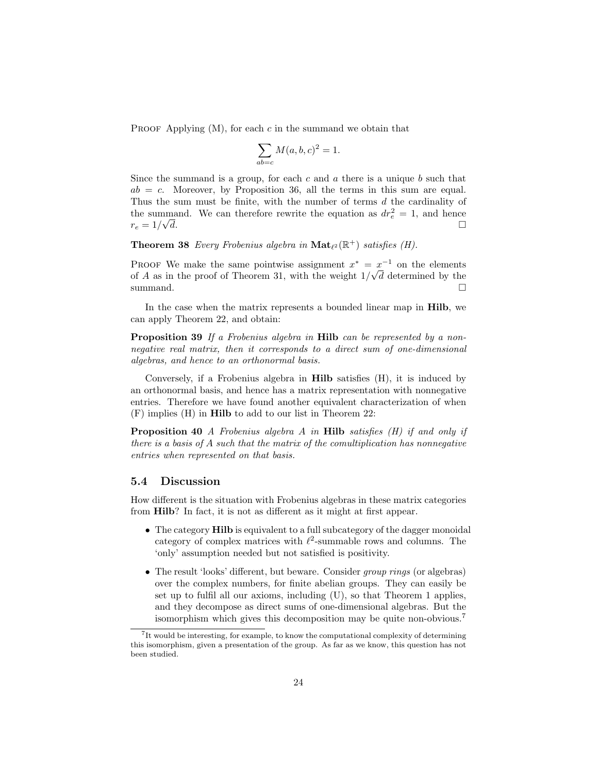PROOF Applying  $(M)$ , for each c in the summand we obtain that

$$
\sum_{ab=c} M(a,b,c)^2 = 1.
$$

Since the summand is a group, for each c and a there is a unique  $b$  such that  $ab = c$ . Moreover, by Proposition 36, all the terms in this sum are equal. Thus the sum must be finite, with the number of terms d the cardinality of the summand. We can therefore rewrite the equation as  $dr_e^2 = 1$ , and hence  $r_e = 1/\sqrt{d}$ .  $\overline{d}$ .

**Theorem 38** Every Frobenius algebra in  $\textbf{Mat}_{\ell^2}(\mathbb{R}^+)$  satisfies (H).

PROOF We make the same pointwise assignment  $x^* = x^{-1}$  on the elements of A as in the proof of Theorem 31, with the weight  $1/\sqrt{d}$  determined by the summand.  $\square$ 

In the case when the matrix represents a bounded linear map in Hilb, we can apply Theorem 22, and obtain:

Proposition 39 If a Frobenius algebra in Hilb can be represented by a nonnegative real matrix, then it corresponds to a direct sum of one-dimensional algebras, and hence to an orthonormal basis.

Conversely, if a Frobenius algebra in Hilb satisfies (H), it is induced by an orthonormal basis, and hence has a matrix representation with nonnegative entries. Therefore we have found another equivalent characterization of when (F) implies (H) in Hilb to add to our list in Theorem 22:

Proposition 40 A Frobenius algebra A in Hilb satisfies (H) if and only if there is a basis of A such that the matrix of the comultiplication has nonnegative entries when represented on that basis.

#### 5.4 Discussion

How different is the situation with Frobenius algebras in these matrix categories from Hilb? In fact, it is not as different as it might at first appear.

- The category **Hilb** is equivalent to a full subcategory of the dagger monoidal category of complex matrices with  $\ell^2$ -summable rows and columns. The 'only' assumption needed but not satisfied is positivity.
- The result 'looks' different, but beware. Consider group rings (or algebras) over the complex numbers, for finite abelian groups. They can easily be set up to fulfil all our axioms, including (U), so that Theorem 1 applies, and they decompose as direct sums of one-dimensional algebras. But the isomorphism which gives this decomposition may be quite non-obvious.<sup>7</sup>

<sup>&</sup>lt;sup>7</sup>It would be interesting, for example, to know the computational complexity of determining this isomorphism, given a presentation of the group. As far as we know, this question has not been studied.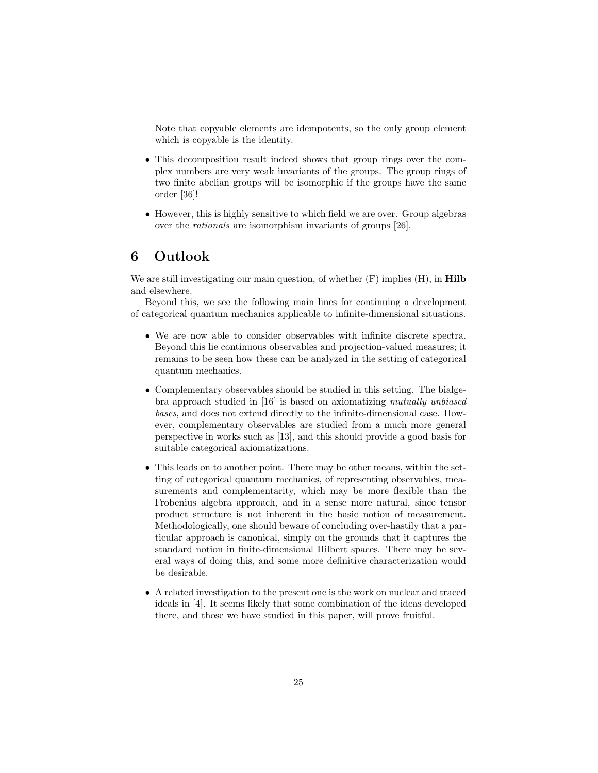Note that copyable elements are idempotents, so the only group element which is copyable is the identity.

- This decomposition result indeed shows that group rings over the complex numbers are very weak invariants of the groups. The group rings of two finite abelian groups will be isomorphic if the groups have the same order [36]!
- However, this is highly sensitive to which field we are over. Group algebras over the rationals are isomorphism invariants of groups [26].

# 6 Outlook

We are still investigating our main question, of whether  $(F)$  implies  $(H)$ , in **Hilb** and elsewhere.

Beyond this, we see the following main lines for continuing a development of categorical quantum mechanics applicable to infinite-dimensional situations.

- We are now able to consider observables with infinite discrete spectra. Beyond this lie continuous observables and projection-valued measures; it remains to be seen how these can be analyzed in the setting of categorical quantum mechanics.
- Complementary observables should be studied in this setting. The bialgebra approach studied in [16] is based on axiomatizing mutually unbiased bases, and does not extend directly to the infinite-dimensional case. However, complementary observables are studied from a much more general perspective in works such as [13], and this should provide a good basis for suitable categorical axiomatizations.
- This leads on to another point. There may be other means, within the setting of categorical quantum mechanics, of representing observables, measurements and complementarity, which may be more flexible than the Frobenius algebra approach, and in a sense more natural, since tensor product structure is not inherent in the basic notion of measurement. Methodologically, one should beware of concluding over-hastily that a particular approach is canonical, simply on the grounds that it captures the standard notion in finite-dimensional Hilbert spaces. There may be several ways of doing this, and some more definitive characterization would be desirable.
- A related investigation to the present one is the work on nuclear and traced ideals in [4]. It seems likely that some combination of the ideas developed there, and those we have studied in this paper, will prove fruitful.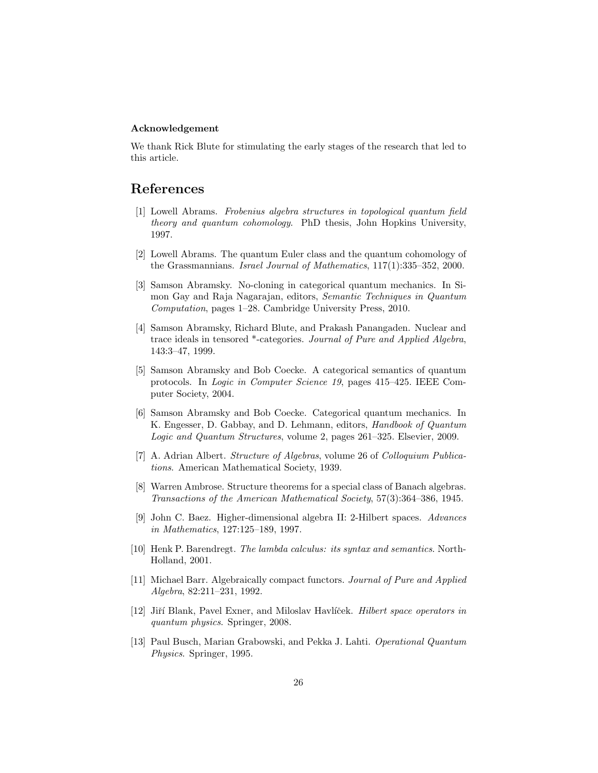### Acknowledgement

We thank Rick Blute for stimulating the early stages of the research that led to this article.

# References

- [1] Lowell Abrams. Frobenius algebra structures in topological quantum field theory and quantum cohomology. PhD thesis, John Hopkins University, 1997.
- [2] Lowell Abrams. The quantum Euler class and the quantum cohomology of the Grassmannians. Israel Journal of Mathematics, 117(1):335–352, 2000.
- [3] Samson Abramsky. No-cloning in categorical quantum mechanics. In Simon Gay and Raja Nagarajan, editors, Semantic Techniques in Quantum Computation, pages 1–28. Cambridge University Press, 2010.
- [4] Samson Abramsky, Richard Blute, and Prakash Panangaden. Nuclear and trace ideals in tensored \*-categories. Journal of Pure and Applied Algebra, 143:3–47, 1999.
- [5] Samson Abramsky and Bob Coecke. A categorical semantics of quantum protocols. In Logic in Computer Science 19, pages 415–425. IEEE Computer Society, 2004.
- [6] Samson Abramsky and Bob Coecke. Categorical quantum mechanics. In K. Engesser, D. Gabbay, and D. Lehmann, editors, Handbook of Quantum Logic and Quantum Structures, volume 2, pages 261–325. Elsevier, 2009.
- [7] A. Adrian Albert. Structure of Algebras, volume 26 of Colloquium Publications. American Mathematical Society, 1939.
- [8] Warren Ambrose. Structure theorems for a special class of Banach algebras. Transactions of the American Mathematical Society, 57(3):364–386, 1945.
- [9] John C. Baez. Higher-dimensional algebra II: 2-Hilbert spaces. Advances in Mathematics, 127:125–189, 1997.
- [10] Henk P. Barendregt. The lambda calculus: its syntax and semantics. North-Holland, 2001.
- [11] Michael Barr. Algebraically compact functors. Journal of Pure and Applied Algebra, 82:211–231, 1992.
- [12] Jiří Blank, Pavel Exner, and Miloslav Havlíček. Hilbert space operators in quantum physics. Springer, 2008.
- [13] Paul Busch, Marian Grabowski, and Pekka J. Lahti. Operational Quantum Physics. Springer, 1995.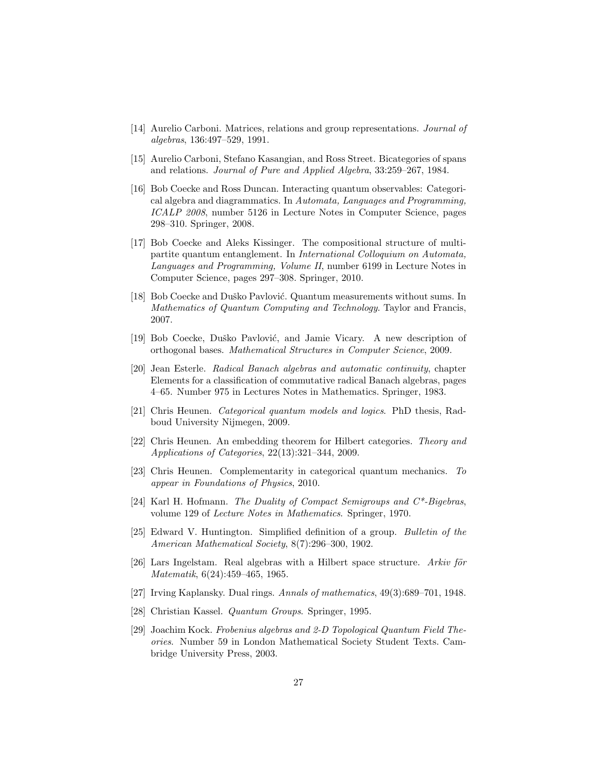- [14] Aurelio Carboni. Matrices, relations and group representations. Journal of algebras, 136:497–529, 1991.
- [15] Aurelio Carboni, Stefano Kasangian, and Ross Street. Bicategories of spans and relations. Journal of Pure and Applied Algebra, 33:259–267, 1984.
- [16] Bob Coecke and Ross Duncan. Interacting quantum observables: Categorical algebra and diagrammatics. In Automata, Languages and Programming, ICALP 2008, number 5126 in Lecture Notes in Computer Science, pages 298–310. Springer, 2008.
- [17] Bob Coecke and Aleks Kissinger. The compositional structure of multipartite quantum entanglement. In International Colloquium on Automata, Languages and Programming, Volume II, number 6199 in Lecture Notes in Computer Science, pages 297–308. Springer, 2010.
- [18] Bob Coecke and Duško Pavlović. Quantum measurements without sums. In Mathematics of Quantum Computing and Technology. Taylor and Francis, 2007.
- [19] Bob Coecke, Duško Pavlović, and Jamie Vicary. A new description of orthogonal bases. Mathematical Structures in Computer Science, 2009.
- [20] Jean Esterle. Radical Banach algebras and automatic continuity, chapter Elements for a classification of commutative radical Banach algebras, pages 4–65. Number 975 in Lectures Notes in Mathematics. Springer, 1983.
- [21] Chris Heunen. Categorical quantum models and logics. PhD thesis, Radboud University Nijmegen, 2009.
- [22] Chris Heunen. An embedding theorem for Hilbert categories. Theory and Applications of Categories, 22(13):321–344, 2009.
- [23] Chris Heunen. Complementarity in categorical quantum mechanics. To appear in Foundations of Physics, 2010.
- [24] Karl H. Hofmann. The Duality of Compact Semigroups and C\*-Bigebras, volume 129 of Lecture Notes in Mathematics. Springer, 1970.
- [25] Edward V. Huntington. Simplified definition of a group. Bulletin of the American Mathematical Society, 8(7):296–300, 1902.
- [26] Lars Ingelstam. Real algebras with a Hilbert space structure. Arkiv för Matematik, 6(24):459–465, 1965.
- [27] Irving Kaplansky. Dual rings. Annals of mathematics, 49(3):689–701, 1948.
- [28] Christian Kassel. Quantum Groups. Springer, 1995.
- [29] Joachim Kock. Frobenius algebras and 2-D Topological Quantum Field Theories. Number 59 in London Mathematical Society Student Texts. Cambridge University Press, 2003.